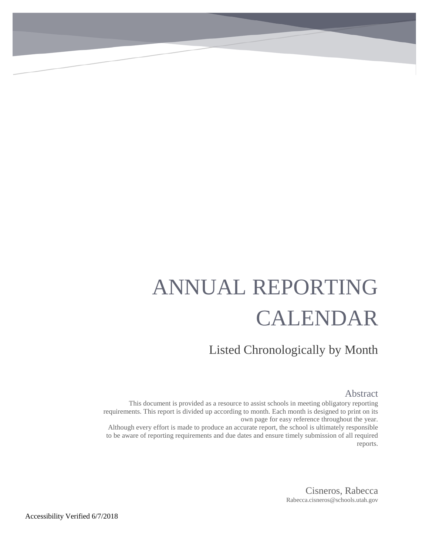# ANNUAL REPORTING CALENDAR

Listed Chronologically by Month

#### Abstract

This document is provided as a resource to assist schools in meeting obligatory reporting requirements. This report is divided up according to month. Each month is designed to print on its own page for easy reference throughout the year. Although every effort is made to produce an accurate report, the school is ultimately responsible to be aware of reporting requirements and due dates and ensure timely submission of all required

reports.

Cisneros, Rabecca Rabecca.cisneros@schools.utah.gov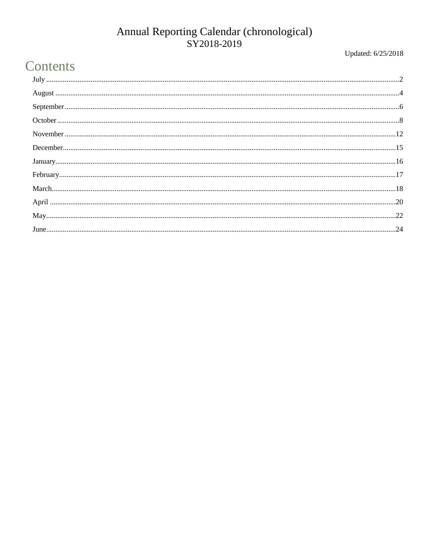Updated: 6/25/2018

## Contents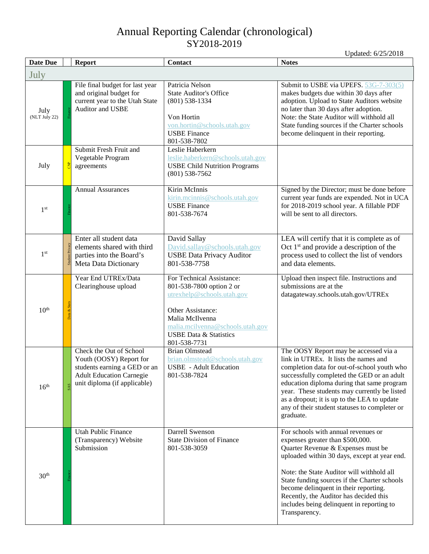<span id="page-2-0"></span>

| <b>Date Due</b>       | <b>Report</b>                                                                         |                                                                   | <b>Contact</b>                                                                                                                                                                                                       | <b>Notes</b>                                                                                                                                                                                                                                                                                                                                                                                                |
|-----------------------|---------------------------------------------------------------------------------------|-------------------------------------------------------------------|----------------------------------------------------------------------------------------------------------------------------------------------------------------------------------------------------------------------|-------------------------------------------------------------------------------------------------------------------------------------------------------------------------------------------------------------------------------------------------------------------------------------------------------------------------------------------------------------------------------------------------------------|
| July                  |                                                                                       |                                                                   |                                                                                                                                                                                                                      |                                                                                                                                                                                                                                                                                                                                                                                                             |
| July<br>(NLT July 22) | and original budget for<br>Auditor and USBE                                           | File final budget for last year<br>current year to the Utah State | Patricia Nelson<br><b>State Auditor's Office</b><br>$(801)$ 538-1334<br>Von Hortin<br>von.hortin@schools.utah.gov<br><b>USBE Finance</b><br>801-538-7802                                                             | Submit to USBE via UPEFS. 53G-7-303(5)<br>makes budgets due within 30 days after<br>adoption. Upload to State Auditors website<br>no later than 30 days after adoption.<br>Note: the State Auditor will withhold all<br>State funding sources if the Charter schools<br>become delinquent in their reporting.                                                                                               |
| July                  | Submit Fresh Fruit and<br>Vegetable Program<br>agreements                             |                                                                   | Leslie Haberkern<br>leslie.haberkern@schools.utah.gov<br><b>USBE Child Nutrition Programs</b><br>$(801)$ 538-7562                                                                                                    |                                                                                                                                                                                                                                                                                                                                                                                                             |
| 1 <sup>st</sup>       | <b>Annual Assurances</b>                                                              |                                                                   | Kirin McInnis<br>kirin.mcinnis@schools.utah.gov<br><b>USBE</b> Finance<br>801-538-7674                                                                                                                               | Signed by the Director; must be done before<br>current year funds are expended. Not in UCA<br>for 2018-2019 school year. A fillable PDF<br>will be sent to all directors.                                                                                                                                                                                                                                   |
| 1 <sup>st</sup>       | Enter all student data<br>parties into the Board's<br>Meta Data Dictionary            | elements shared with third                                        | David Sallay<br>David.sallay@schools.utah.gov<br><b>USBE Data Privacy Auditor</b><br>801-538-7758                                                                                                                    | LEA will certify that it is complete as of<br>Oct $1st$ and provide a description of the<br>process used to collect the list of vendors<br>and data elements.                                                                                                                                                                                                                                               |
| 10 <sup>th</sup>      | Year End UTREx/Data<br>Clearinghouse upload                                           |                                                                   | For Technical Assistance:<br>801-538-7800 option 2 or<br>utrexhelp@schools.utah.gov<br>Other Assistance:<br>Malia McIlvenna<br>malia.mcilvenna@schools.utah.gov<br><b>USBE Data &amp; Statistics</b><br>801-538-7731 | Upload then inspect file. Instructions and<br>submissions are at the<br>datagateway.schools.utah.gov/UTREx                                                                                                                                                                                                                                                                                                  |
| 16 <sup>th</sup>      | Check the Out of School<br>Youth (OOSY) Report for<br><b>Adult Education Carnegie</b> | students earning a GED or an<br>unit diploma (if applicable)      | <b>Brian Olmstead</b><br>brian.olmstead@schools.utah.gov<br><b>USBE</b> - Adult Education<br>801-538-7824                                                                                                            | The OOSY Report may be accessed via a<br>link in UTREx. It lists the names and<br>completion data for out-of-school youth who<br>successfully completed the GED or an adult<br>education diploma during that same program<br>year. These students may currently be listed<br>as a dropout; it is up to the LEA to update<br>any of their student statuses to completer or<br>graduate.                      |
| 30 <sup>th</sup>      | <b>Utah Public Finance</b><br>(Transparency) Website<br>Submission                    |                                                                   | Darrell Swenson<br><b>State Division of Finance</b><br>801-538-3059                                                                                                                                                  | For schools with annual revenues or<br>expenses greater than \$500,000.<br>Quarter Revenue & Expenses must be<br>uploaded within 30 days, except at year end.<br>Note: the State Auditor will withhold all<br>State funding sources if the Charter schools<br>become delinquent in their reporting.<br>Recently, the Auditor has decided this<br>includes being delinquent in reporting to<br>Transparency. |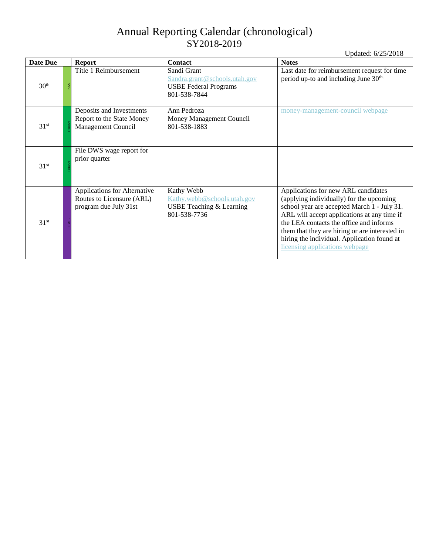| Date Due         | <b>Report</b>                                                                      | <b>Contact</b>                                                                               | <b>Notes</b>                                                                                                                                                                                                                                                                                                                                                |
|------------------|------------------------------------------------------------------------------------|----------------------------------------------------------------------------------------------|-------------------------------------------------------------------------------------------------------------------------------------------------------------------------------------------------------------------------------------------------------------------------------------------------------------------------------------------------------------|
| 30 <sup>th</sup> | Title 1 Reimbursement                                                              | Sandi Grant<br>Sandra.grant@schools.utah.gov<br><b>USBE Federal Programs</b><br>801-538-7844 | Last date for reimbursement request for time<br>period up-to and including June 30 <sup>th.</sup>                                                                                                                                                                                                                                                           |
| 31 <sup>st</sup> | Deposits and Investments<br>Report to the State Money<br>Management Council        | Ann Pedroza<br>Money Management Council<br>801-538-1883                                      | money-management-council webpage                                                                                                                                                                                                                                                                                                                            |
| 31 <sup>st</sup> | File DWS wage report for<br>prior quarter                                          |                                                                                              |                                                                                                                                                                                                                                                                                                                                                             |
| 31 <sup>st</sup> | Applications for Alternative<br>Routes to Licensure (ARL)<br>program due July 31st | Kathy Webb<br>Kathy.webb@schools.utah.gov<br>USBE Teaching & Learning<br>801-538-7736        | Applications for new ARL candidates<br>(applying individually) for the upcoming<br>school year are accepted March 1 - July 31.<br>ARL will accept applications at any time if<br>the LEA contacts the office and informs<br>them that they are hiring or are interested in<br>hiring the individual. Application found at<br>licensing applications webpage |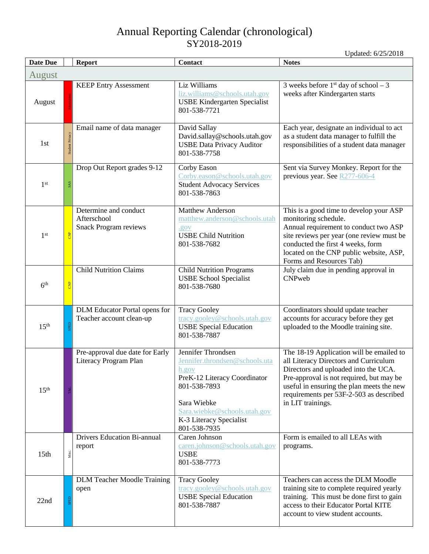<span id="page-4-0"></span>

| <b>Date Due</b>  |                 | <b>Report</b>                                                        | <b>Contact</b>                                                                                                                                                                                          | <b>Notes</b>                                                                                                                                                                                                                                                                       |
|------------------|-----------------|----------------------------------------------------------------------|---------------------------------------------------------------------------------------------------------------------------------------------------------------------------------------------------------|------------------------------------------------------------------------------------------------------------------------------------------------------------------------------------------------------------------------------------------------------------------------------------|
| August           |                 |                                                                      |                                                                                                                                                                                                         |                                                                                                                                                                                                                                                                                    |
| August           |                 | <b>KEEP Entry Assessment</b>                                         | Liz Williams<br>liz.williams@schools.utah.gov<br><b>USBE Kindergarten Specialist</b><br>801-538-7721                                                                                                    | 3 weeks before $1st$ day of school – 3<br>weeks after Kindergarten starts                                                                                                                                                                                                          |
| 1st              | Student Privacy | Email name of data manager                                           | David Sallay<br>David.sallay@schools.utah.gov<br><b>USBE Data Privacy Auditor</b><br>801-538-7758                                                                                                       | Each year, designate an individual to act<br>as a student data manager to fulfill the<br>responsibilities of a student data manager                                                                                                                                                |
| 1 <sup>st</sup>  | SAS             | Drop Out Report grades 9-12                                          | Corby Eason<br>Corby.eason@schools.utah.gov<br><b>Student Advocacy Services</b><br>801-538-7863                                                                                                         | Sent via Survey Monkey. Report for the<br>previous year. See R277-606-4                                                                                                                                                                                                            |
| 1 <sup>st</sup>  | <b>B</b>        | Determine and conduct<br>Afterschool<br><b>Snack Program reviews</b> | <b>Matthew Anderson</b><br>matthew.anderson@schools.utah<br>.gov<br><b>USBE Child Nutrition</b><br>801-538-7682                                                                                         | This is a good time to develop your ASP<br>monitoring schedule.<br>Annual requirement to conduct two ASP<br>site reviews per year (one review must be<br>conducted the first 4 weeks, form<br>located on the CNP public website, ASP,<br>Forms and Resources Tab)                  |
| 6 <sup>th</sup>  | <b>B</b>        | <b>Child Nutrition Claims</b>                                        | <b>Child Nutrition Programs</b><br><b>USBE School Specialist</b><br>801-538-7680                                                                                                                        | July claim due in pending approval in<br><b>CNPweb</b>                                                                                                                                                                                                                             |
| 15 <sup>th</sup> |                 | DLM Educator Portal opens for<br>Teacher account clean-up            | <b>Tracy Gooley</b><br>tracy.gooley@schools.utah.gov<br><b>USBE Special Education</b><br>801-538-7887                                                                                                   | Coordinators should update teacher<br>accounts for accuracy before they get<br>uploaded to the Moodle training site.                                                                                                                                                               |
| 15 <sup>th</sup> |                 | Pre-approval due date for Early<br>Literacy Program Plan             | Jennifer Throndsen<br>Jennifer.throndsen@schools.uta<br>h.gov<br>PreK-12 Literacy Coordinator<br>801-538-7893<br>Sara Wiebke<br>Sara.wiebke@schools.utah.gov<br>K-3 Literacy Specialist<br>801-538-7935 | The 18-19 Application will be emailed to<br>all Literacy Directors and Curriculum<br>Directors and uploaded into the UCA.<br>Pre-approval is not required, but may be<br>useful in ensuring the plan meets the new<br>requirements per 53F-2-503 as described<br>in LIT trainings. |
| 15 <sub>th</sub> | Misc.           | <b>Drivers Education Bi-annual</b><br>report                         | Caren Johnson<br>caren.johnson@schools.utah.gov<br><b>USBE</b><br>801-538-7773                                                                                                                          | Form is emailed to all LEAs with<br>programs.                                                                                                                                                                                                                                      |
| 22nd             |                 | <b>DLM Teacher Moodle Training</b><br>open                           | <b>Tracy Gooley</b><br>tracy.gooley@schools.utah.gov<br><b>USBE Special Education</b><br>801-538-7887                                                                                                   | Teachers can access the DLM Moodle<br>training site to complete required yearly<br>training. This must be done first to gain<br>access to their Educator Portal KITE<br>account to view student accounts.                                                                          |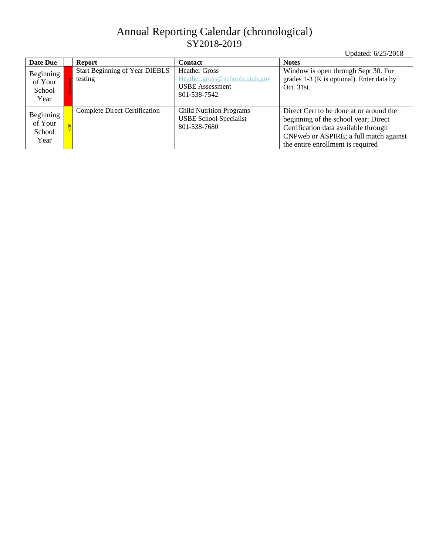| Date Due                               | <b>Report</b>                                    | <b>Contact</b>                                                                                   | <b>Notes</b>                                                                                                                                                                                            |
|----------------------------------------|--------------------------------------------------|--------------------------------------------------------------------------------------------------|---------------------------------------------------------------------------------------------------------------------------------------------------------------------------------------------------------|
| Beginning<br>of Your<br>School<br>Year | <b>Start Beginning of Year DIEBLS</b><br>testing | <b>Heather Gross</b><br>Heather.gross@schools.utah.gov<br><b>USBE</b> Assessment<br>801-538-7542 | Window is open through Sept 30. For<br>grades 1-3 (K is optional). Enter data by<br>Oct. 31st.                                                                                                          |
| Beginning<br>of Your<br>School<br>Year | <b>Complete Direct Certification</b>             | <b>Child Nutrition Programs</b><br><b>USBE School Specialist</b><br>801-538-7680                 | Direct Cert to be done at or around the<br>beginning of the school year; Direct<br>Certification data available through<br>CNP web or ASPIRE; a full match against<br>the entire enrollment is required |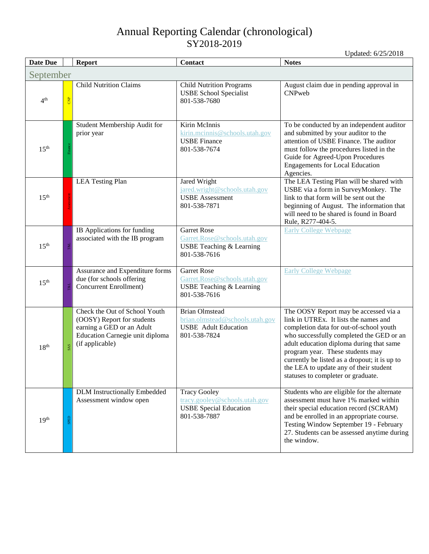<span id="page-6-0"></span>

| Date Due         |                | <b>Report</b>                                                                                                                                  | Contact                                                                                                 | <b>Notes</b>                                                                                                                                                                                                                                                                                                                                                                           |  |
|------------------|----------------|------------------------------------------------------------------------------------------------------------------------------------------------|---------------------------------------------------------------------------------------------------------|----------------------------------------------------------------------------------------------------------------------------------------------------------------------------------------------------------------------------------------------------------------------------------------------------------------------------------------------------------------------------------------|--|
| September        |                |                                                                                                                                                |                                                                                                         |                                                                                                                                                                                                                                                                                                                                                                                        |  |
| 4 <sup>th</sup>  | $rac{P}{C}$    | <b>Child Nutrition Claims</b>                                                                                                                  | <b>Child Nutrition Programs</b><br><b>USBE School Specialist</b><br>801-538-7680                        | August claim due in pending approval in<br>CNPweb                                                                                                                                                                                                                                                                                                                                      |  |
| 15 <sup>th</sup> | Finance        | Student Membership Audit for<br>prior year                                                                                                     | Kirin McInnis<br>kirin.mcinnis@schools.utah.gov<br><b>USBE Finance</b><br>801-538-7674                  | To be conducted by an independent auditor<br>and submitted by your auditor to the<br>attention of USBE Finance. The auditor<br>must follow the procedures listed in the<br>Guide for Agreed-Upon Procedures<br><b>Engagements for Local Education</b><br>Agencies.                                                                                                                     |  |
| 15 <sup>th</sup> |                | <b>LEA Testing Plan</b>                                                                                                                        | Jared Wright<br>jared.wright@schools.utah.gov<br><b>USBE</b> Assessment<br>801-538-7871                 | The LEA Testing Plan will be shared with<br>USBE via a form in SurveyMonkey. The<br>link to that form will be sent out the<br>beginning of August. The information that<br>will need to be shared is found in Board<br>Rule, R277-404-5.                                                                                                                                               |  |
| 15 <sup>th</sup> | <b>T&amp;L</b> | IB Applications for funding<br>associated with the IB program                                                                                  | <b>Garret Rose</b><br>Garret.Rose@schools.utah.gov<br>USBE Teaching & Learning<br>801-538-7616          | <b>Early College Webpage</b>                                                                                                                                                                                                                                                                                                                                                           |  |
| 15 <sup>th</sup> | <b>T&amp;L</b> | Assurance and Expenditure forms<br>due (for schools offering<br>Concurrent Enrollment)                                                         | <b>Garret Rose</b><br>Garret.Rose@schools.utah.gov<br>USBE Teaching & Learning<br>801-538-7616          | <b>Early College Webpage</b>                                                                                                                                                                                                                                                                                                                                                           |  |
| 18 <sup>th</sup> | <b>SAS</b>     | Check the Out of School Youth<br>(OOSY) Report for students<br>earning a GED or an Adult<br>Education Carnegie unit diploma<br>(if applicable) | <b>Brian Olmstead</b><br>brian.olmstead@schools.utah.gov<br><b>USBE</b> Adult Education<br>801-538-7824 | The OOSY Report may be accessed via a<br>link in UTREx. It lists the names and<br>completion data for out-of-school youth<br>who successfully completed the GED or an<br>adult education diploma during that same<br>program year. These students may<br>currently be listed as a dropout; it is up to<br>the LEA to update any of their student<br>statuses to completer or graduate. |  |
| 19 <sup>th</sup> | SPED           | <b>DLM</b> Instructionally Embedded<br>Assessment window open                                                                                  | <b>Tracy Gooley</b><br>tracy.gooley@schools.utah.gov<br><b>USBE Special Education</b><br>801-538-7887   | Students who are eligible for the alternate<br>assessment must have 1% marked within<br>their special education record (SCRAM)<br>and be enrolled in an appropriate course.<br>Testing Window September 19 - February<br>27. Students can be assessed anytime during<br>the window.                                                                                                    |  |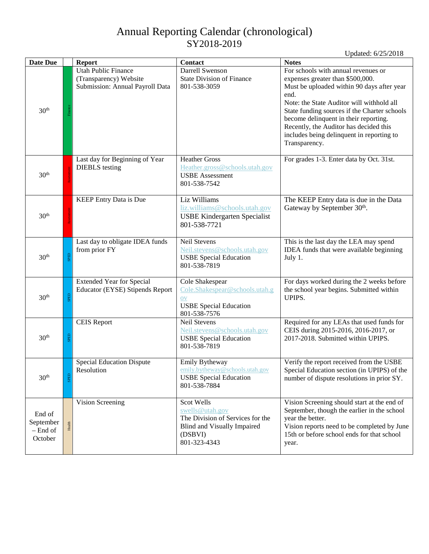| <b>Date Due</b>                              |        | <b>Report</b>                                                                    | <b>Contact</b>                                                                                                              | <b>Notes</b>                                                                                                                                                                                                                                                                                                                                                                |
|----------------------------------------------|--------|----------------------------------------------------------------------------------|-----------------------------------------------------------------------------------------------------------------------------|-----------------------------------------------------------------------------------------------------------------------------------------------------------------------------------------------------------------------------------------------------------------------------------------------------------------------------------------------------------------------------|
| 30 <sup>th</sup>                             |        | Utah Public Finance<br>(Transparency) Website<br>Submission: Annual Payroll Data | Darrell Swenson<br><b>State Division of Finance</b><br>801-538-3059                                                         | For schools with annual revenues or<br>expenses greater than \$500,000.<br>Must be uploaded within 90 days after year<br>end.<br>Note: the State Auditor will withhold all<br>State funding sources if the Charter schools<br>become delinquent in their reporting.<br>Recently, the Auditor has decided this<br>includes being delinquent in reporting to<br>Transparency. |
| 30 <sup>th</sup>                             |        | Last day for Beginning of Year<br><b>DIEBLS</b> testing                          | <b>Heather Gross</b><br>Heather.gross@schools.utah.gov<br><b>USBE</b> Assessment<br>801-538-7542                            | For grades 1-3. Enter data by Oct. 31st.                                                                                                                                                                                                                                                                                                                                    |
| 30 <sup>th</sup>                             |        | <b>KEEP Entry Data is Due</b>                                                    | Liz Williams<br>liz.williams@schools.utah.gov<br><b>USBE Kindergarten Specialist</b><br>801-538-7721                        | The KEEP Entry data is due in the Data<br>Gateway by September 30th.                                                                                                                                                                                                                                                                                                        |
| 30 <sup>th</sup>                             | SPED   | Last day to obligate IDEA funds<br>from prior FY                                 | <b>Neil Stevens</b><br>Neil.stevens@schools.utah.gov<br><b>USBE Special Education</b><br>801-538-7819                       | This is the last day the LEA may spend<br>IDEA funds that were available beginning<br>July 1.                                                                                                                                                                                                                                                                               |
| 30 <sup>th</sup>                             | SPED   | <b>Extended Year for Special</b><br><b>Educator (EYSE) Stipends Report</b>       | Cole Shakespear<br>Cole.Shakespear@schools.utah.g<br><b>OV</b><br><b>USBE Special Education</b><br>801-538-7576             | For days worked during the 2 weeks before<br>the school year begins. Submitted within<br>UPIPS.                                                                                                                                                                                                                                                                             |
| 30 <sup>th</sup>                             | SPED   | <b>CEIS Report</b>                                                               | <b>Neil Stevens</b><br>Neil.stevens@schools.utah.gov<br><b>USBE Special Education</b><br>801-538-7819                       | Required for any LEAs that used funds for<br>CEIS during 2015-2016, 2016-2017, or<br>2017-2018. Submitted within UPIPS.                                                                                                                                                                                                                                                     |
| 30 <sup>th</sup>                             | SPED   | <b>Special Education Dispute</b><br>Resolution                                   | Emily Bytheway<br>emily.bytheway@schools.utah.gov<br><b>USBE Special Education</b><br>801-538-7884                          | Verify the report received from the USBE<br>Special Education section (in UPIPS) of the<br>number of dispute resolutions in prior SY.                                                                                                                                                                                                                                       |
| End of<br>September<br>$-$ End of<br>October | Health | Vision Screening                                                                 | Scot Wells<br>swells@utah.gov<br>The Division of Services for the<br>Blind and Visually Impaired<br>(DSBVI)<br>801-323-4343 | Vision Screening should start at the end of<br>September, though the earlier in the school<br>year the better.<br>Vision reports need to be completed by June<br>15th or before school ends for that school<br>year.                                                                                                                                                        |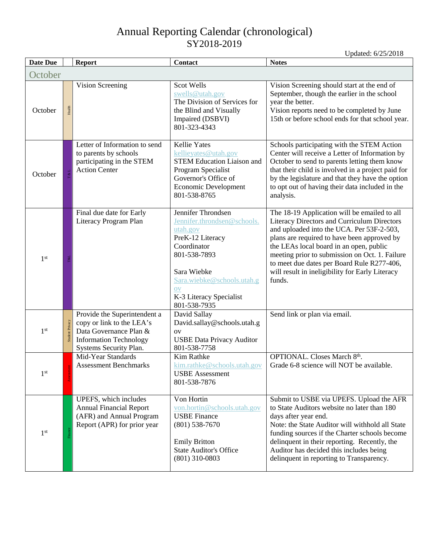<span id="page-8-0"></span>

| <b>Date Due</b> |                 | <b>Report</b>                                                                                                                                  | Contact                                                                                                                                                                                                                            | <b>Notes</b>                                                                                                                                                                                                                                                                                                                                                                                    |  |  |  |
|-----------------|-----------------|------------------------------------------------------------------------------------------------------------------------------------------------|------------------------------------------------------------------------------------------------------------------------------------------------------------------------------------------------------------------------------------|-------------------------------------------------------------------------------------------------------------------------------------------------------------------------------------------------------------------------------------------------------------------------------------------------------------------------------------------------------------------------------------------------|--|--|--|
| October         |                 |                                                                                                                                                |                                                                                                                                                                                                                                    |                                                                                                                                                                                                                                                                                                                                                                                                 |  |  |  |
| October         | Health          | Vision Screening                                                                                                                               | Scot Wells<br>swells@utah.gov<br>The Division of Services for<br>the Blind and Visually<br>Impaired (DSBVI)<br>801-323-4343                                                                                                        | Vision Screening should start at the end of<br>September, though the earlier in the school<br>year the better.<br>Vision reports need to be completed by June<br>15th or before school ends for that school year.                                                                                                                                                                               |  |  |  |
| October         |                 | Letter of Information to send<br>to parents by schools<br>participating in the STEM<br><b>Action Center</b>                                    | <b>Kellie Yates</b><br>kellieyates@utah.gov<br><b>STEM Education Liaison and</b><br>Program Specialist<br>Governor's Office of<br>Economic Development<br>801-538-8765                                                             | Schools participating with the STEM Action<br>Center will receive a Letter of Information by<br>October to send to parents letting them know<br>that their child is involved in a project paid for<br>by the legislature and that they have the option<br>to opt out of having their data included in the<br>analysis.                                                                          |  |  |  |
| 1 <sup>st</sup> |                 | Final due date for Early<br>Literacy Program Plan                                                                                              | Jennifer Throndsen<br>Jennifer.throndsen@schools.<br>utah.gov<br>PreK-12 Literacy<br>Coordinator<br>801-538-7893<br>Sara Wiebke<br>Sara.wiebke@schools.utah.g<br>$\overline{\text{ov}}$<br>K-3 Literacy Specialist<br>801-538-7935 | The 18-19 Application will be emailed to all<br>Literacy Directors and Curriculum Directors<br>and uploaded into the UCA. Per 53F-2-503,<br>plans are required to have been approved by<br>the LEAs local board in an open, public<br>meeting prior to submission on Oct. 1. Failure<br>to meet due dates per Board Rule R277-406,<br>will result in ineligibility for Early Literacy<br>funds. |  |  |  |
| 1 <sup>st</sup> | Student Privacy | Provide the Superintendent a<br>copy or link to the LEA's<br>Data Governance Plan &<br><b>Information Technology</b><br>Systems Security Plan. | David Sallay<br>David.sallay@schools.utah.g<br>OV<br><b>USBE Data Privacy Auditor</b><br>801-538-7758                                                                                                                              | Send link or plan via email.                                                                                                                                                                                                                                                                                                                                                                    |  |  |  |
| $1^{st}$        |                 | Mid-Year Standards<br><b>Assessment Benchmarks</b>                                                                                             | Kim Rathke<br>kim.rathke@schools.utah.gov<br><b>USBE</b> Assessment<br>801-538-7876                                                                                                                                                | OPTIONAL. Closes March 8th.<br>Grade 6-8 science will NOT be available.                                                                                                                                                                                                                                                                                                                         |  |  |  |
| 1 <sup>st</sup> |                 | UPEFS, which includes<br><b>Annual Financial Report</b><br>(AFR) and Annual Program<br>Report (APR) for prior year                             | Von Hortin<br>von.hortin@schools.utah.gov<br><b>USBE</b> Finance<br>$(801)$ 538-7670<br><b>Emily Britton</b><br><b>State Auditor's Office</b><br>$(801)$ 310-0803                                                                  | Submit to USBE via UPEFS. Upload the AFR<br>to State Auditors website no later than 180<br>days after year end.<br>Note: the State Auditor will withhold all State<br>funding sources if the Charter schools become<br>delinquent in their reporting. Recently, the<br>Auditor has decided this includes being<br>delinquent in reporting to Transparency.                                      |  |  |  |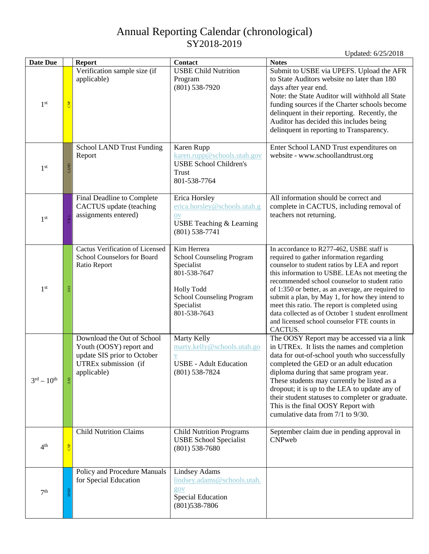| <b>Date Due</b>                  |                    | <b>Report</b>                                                                                                               | Contact                                                                                                                                                       | <b>Notes</b>                                                                                                                                                                                                                                                                                                                                                                                                                                                                                                       |
|----------------------------------|--------------------|-----------------------------------------------------------------------------------------------------------------------------|---------------------------------------------------------------------------------------------------------------------------------------------------------------|--------------------------------------------------------------------------------------------------------------------------------------------------------------------------------------------------------------------------------------------------------------------------------------------------------------------------------------------------------------------------------------------------------------------------------------------------------------------------------------------------------------------|
| 1 <sup>st</sup>                  | <b>CNP</b>         | Verification sample size (if<br>applicable)                                                                                 | <b>USBE Child Nutrition</b><br>Program<br>$(801)$ 538-7920                                                                                                    | Submit to USBE via UPEFS. Upload the AFR<br>to State Auditors website no later than 180<br>days after year end.<br>Note: the State Auditor will withhold all State<br>funding sources if the Charter schools become<br>delinquent in their reporting. Recently, the<br>Auditor has decided this includes being<br>delinquent in reporting to Transparency.                                                                                                                                                         |
| 1 <sup>st</sup>                  | LAND               | <b>School LAND Trust Funding</b><br>Report                                                                                  | Karen Rupp<br>karen.rupp@schools.utah.gov<br><b>USBE School Children's</b><br>Trust<br>801-538-7764                                                           | Enter School LAND Trust expenditures on<br>website - www.schoollandtrust.org                                                                                                                                                                                                                                                                                                                                                                                                                                       |
| 1 <sup>st</sup>                  | L%1                | Final Deadline to Complete<br>CACTUS update (teaching<br>assignments entered)                                               | Erica Horsley<br>erica.horsley@schools.utah.g<br><b>OV</b><br>USBE Teaching & Learning<br>$(801)$ 538-7741                                                    | All information should be correct and<br>complete in CACTUS, including removal of<br>teachers not returning.                                                                                                                                                                                                                                                                                                                                                                                                       |
| 1 <sup>st</sup>                  | <b>SAS</b>         | <b>Cactus Verification of Licensed</b><br>School Counselors for Board<br>Ratio Report                                       | Kim Herrera<br><b>School Counseling Program</b><br>Specialist<br>801-538-7647<br><b>Holly Todd</b><br>School Counseling Program<br>Specialist<br>801-538-7643 | In accordance to R277-462, USBE staff is<br>required to gather information regarding<br>counselor to student ratios by LEA and report<br>this information to USBE. LEAs not meeting the<br>recommended school counselor to student ratio<br>of 1:350 or better, as an average, are required to<br>submit a plan, by May 1, for how they intend to<br>meet this ratio. The report is completed using<br>data collected as of October 1 student enrollment<br>and licensed school counselor FTE counts in<br>CACTUS. |
| $3^{\text{rd}} - 10^{\text{th}}$ | <b>SAS</b>         | Download the Out of School<br>Youth (OOSY) report and<br>update SIS prior to October<br>UTREx submission (if<br>applicable) | Marty Kelly<br>marty.kelly@schools.utah.go<br>V<br><b>USBE</b> - Adult Education<br>$(801) 538 - 7824$                                                        | The OOSY Report may be accessed via a link<br>in UTREx. It lists the names and completion<br>data for out-of-school youth who successfully<br>completed the GED or an adult education<br>diploma during that same program year.<br>These students may currently be listed as a<br>dropout; it is up to the LEA to update any of<br>their student statuses to completer or graduate.<br>This is the final OOSY Report with<br>cumulative data from 7/1 to 9/30.                                                     |
| 4 <sup>th</sup>                  | $rac{p}{\sqrt{2}}$ | <b>Child Nutrition Claims</b>                                                                                               | <b>Child Nutrition Programs</b><br><b>USBE School Specialist</b><br>$(801)$ 538-7680                                                                          | September claim due in pending approval in<br>CNPweb                                                                                                                                                                                                                                                                                                                                                                                                                                                               |
| 7 <sup>th</sup>                  | SPED               | Policy and Procedure Manuals<br>for Special Education                                                                       | <b>Lindsey Adams</b><br>lindsey.adams@schools.utah.<br>gov<br><b>Special Education</b><br>$(801)$ 538-7806                                                    |                                                                                                                                                                                                                                                                                                                                                                                                                                                                                                                    |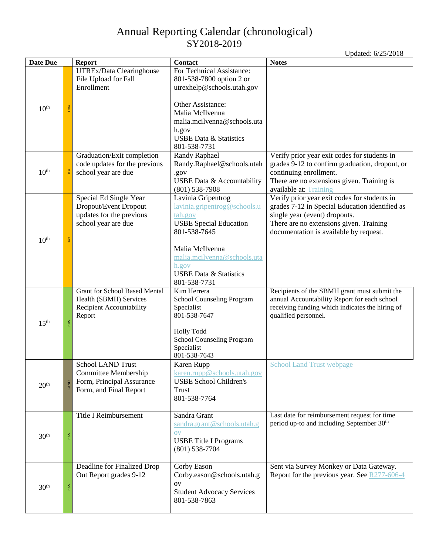| Updated: 6/25/2018 |
|--------------------|
|                    |

| <b>Date Due</b>  |            | <b>Report</b>                                                                                           | Contact                                                                                                                                                                                                                        | <b>Notes</b>                                                                                                                                                                                                         |
|------------------|------------|---------------------------------------------------------------------------------------------------------|--------------------------------------------------------------------------------------------------------------------------------------------------------------------------------------------------------------------------------|----------------------------------------------------------------------------------------------------------------------------------------------------------------------------------------------------------------------|
|                  |            | UTREx/Data Clearinghouse<br>File Upload for Fall<br>Enrollment                                          | For Technical Assistance:<br>801-538-7800 option 2 or<br>utrexhelp@schools.utah.gov                                                                                                                                            |                                                                                                                                                                                                                      |
| 10 <sup>th</sup> | Data       |                                                                                                         | Other Assistance:<br>Malia McIlvenna<br>malia.mcilvenna@schools.uta<br>h.gov<br><b>USBE Data &amp; Statistics</b><br>801-538-7731                                                                                              |                                                                                                                                                                                                                      |
| 10 <sup>th</sup> | Data       | Graduation/Exit completion<br>code updates for the previous<br>school year are due                      | Randy Raphael<br>Randy.Raphael@schools.utah<br>.gov<br>USBE Data & Accountability<br>$(801)$ 538-7908                                                                                                                          | Verify prior year exit codes for students in<br>grades 9-12 to confirm graduation, dropout, or<br>continuing enrollment.<br>There are no extensions given. Training is<br>available at: Training                     |
| 10 <sup>th</sup> | Data       | Special Ed Single Year<br>Dropout/Event Dropout<br>updates for the previous<br>school year are due      | Lavinia Gripentrog<br>lavinia.gripentrog@schools.u<br>tah.gov<br><b>USBE Special Education</b><br>801-538-7645<br>Malia McIlvenna<br>malia.mcilvenna@schools.uta<br>h.gov<br><b>USBE Data &amp; Statistics</b><br>801-538-7731 | Verify prior year exit codes for students in<br>grades 7-12 in Special Education identified as<br>single year (event) dropouts.<br>There are no extensions given. Training<br>documentation is available by request. |
| 15 <sup>th</sup> | <b>SAS</b> | <b>Grant for School Based Mental</b><br>Health (SBMH) Services<br>Recipient Accountability<br>Report    | Kim Herrera<br>School Counseling Program<br>Specialist<br>801-538-7647<br><b>Holly Todd</b><br>School Counseling Program<br>Specialist<br>801-538-7643                                                                         | Recipients of the SBMH grant must submit the<br>annual Accountability Report for each school<br>receiving funding which indicates the hiring of<br>qualified personnel.                                              |
| 20 <sup>th</sup> | LAND       | <b>School LAND Trust</b><br>Committee Membership<br>Form, Principal Assurance<br>Form, and Final Report | Karen Rupp<br>karen.rupp@schools.utah.gov<br><b>USBE School Children's</b><br>Trust<br>801-538-7764                                                                                                                            | <b>School Land Trust webpage</b>                                                                                                                                                                                     |
| 30 <sup>th</sup> | <b>SAS</b> | Title I Reimbursement                                                                                   | Sandra Grant<br>sandra.grant@schools.utah.g<br>OV<br><b>USBE</b> Title I Programs<br>$(801)$ 538-7704                                                                                                                          | Last date for reimbursement request for time<br>period up-to and including September 30 <sup>th</sup>                                                                                                                |
| 30 <sup>th</sup> | <b>SAS</b> | Deadline for Finalized Drop<br>Out Report grades 9-12                                                   | Corby Eason<br>Corby.eason@schools.utah.g<br>OV<br><b>Student Advocacy Services</b><br>801-538-7863                                                                                                                            | Sent via Survey Monkey or Data Gateway.<br>Report for the previous year. See R277-606-4                                                                                                                              |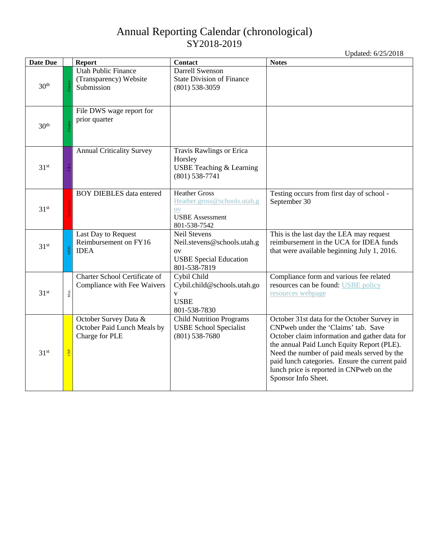|                  |                |                                                                        |                                                                                                                  | Updated: 6/25/2018                                                                                                                                                                                                                                                                                                                                    |
|------------------|----------------|------------------------------------------------------------------------|------------------------------------------------------------------------------------------------------------------|-------------------------------------------------------------------------------------------------------------------------------------------------------------------------------------------------------------------------------------------------------------------------------------------------------------------------------------------------------|
| Date Due         |                | <b>Report</b>                                                          | Contact                                                                                                          | <b>Notes</b>                                                                                                                                                                                                                                                                                                                                          |
| 30 <sup>th</sup> |                | <b>Utah Public Finance</b><br>(Transparency) Website<br>Submission     | <b>Darrell Swenson</b><br><b>State Division of Finance</b><br>$(801)$ 538-3059                                   |                                                                                                                                                                                                                                                                                                                                                       |
| 30 <sup>th</sup> |                | File DWS wage report for<br>prior quarter                              |                                                                                                                  |                                                                                                                                                                                                                                                                                                                                                       |
| 31 <sup>st</sup> | $\frac{1}{2}$  | <b>Annual Criticality Survey</b>                                       | Travis Rawlings or Erica<br>Horsley<br>USBE Teaching & Learning<br>$(801)$ 538-7741                              |                                                                                                                                                                                                                                                                                                                                                       |
| 31 <sup>st</sup> |                | <b>BOY DIEBLES</b> data entered                                        | <b>Heather Gross</b><br>Heather.gross@schools.utah.g<br><b>OV</b><br><b>USBE</b> Assessment<br>801-538-7542      | Testing occurs from first day of school -<br>September 30                                                                                                                                                                                                                                                                                             |
| $31^{st}$        |                | Last Day to Request<br>Reimbursement on FY16<br><b>IDEA</b>            | <b>Neil Stevens</b><br>Neil.stevens@schools.utah.g<br><b>OV</b><br><b>USBE Special Education</b><br>801-538-7819 | This is the last day the LEA may request<br>reimbursement in the UCA for IDEA funds<br>that were available beginning July 1, 2016.                                                                                                                                                                                                                    |
| 31 <sup>st</sup> | Misc.          | Charter School Certificate of<br>Compliance with Fee Waivers           | Cybil Child<br>Cybil.child@schools.utah.go<br>$\mathbf{V}$<br><b>USBE</b><br>801-538-7830                        | Compliance form and various fee related<br>resources can be found: USBE policy<br>resources webpage                                                                                                                                                                                                                                                   |
| 31 <sup>st</sup> | $\overline{a}$ | October Survey Data &<br>October Paid Lunch Meals by<br>Charge for PLE | <b>Child Nutrition Programs</b><br><b>USBE School Specialist</b><br>$(801)$ 538-7680                             | October 31st data for the October Survey in<br>CNPweb under the 'Claims' tab. Save<br>October claim information and gather data for<br>the annual Paid Lunch Equity Report (PLE).<br>Need the number of paid meals served by the<br>paid lunch categories. Ensure the current paid<br>lunch price is reported in CNPweb on the<br>Sponsor Info Sheet. |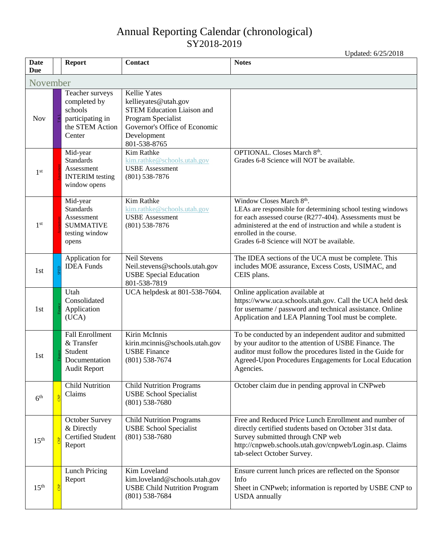<span id="page-12-0"></span>

| <b>Date</b><br><b>Due</b> |  | <b>Report</b>                                                                               | Contact                                                                                                                                                                | <b>Notes</b>                                                                                                                                                                                                                                                                                 |  |  |  |  |  |
|---------------------------|--|---------------------------------------------------------------------------------------------|------------------------------------------------------------------------------------------------------------------------------------------------------------------------|----------------------------------------------------------------------------------------------------------------------------------------------------------------------------------------------------------------------------------------------------------------------------------------------|--|--|--|--|--|
| November                  |  |                                                                                             |                                                                                                                                                                        |                                                                                                                                                                                                                                                                                              |  |  |  |  |  |
| <b>Nov</b>                |  | Teacher surveys<br>completed by<br>schools<br>participating in<br>the STEM Action<br>Center | <b>Kellie Yates</b><br>kellieyates@utah.gov<br><b>STEM Education Liaison and</b><br>Program Specialist<br>Governor's Office of Economic<br>Development<br>801-538-8765 |                                                                                                                                                                                                                                                                                              |  |  |  |  |  |
| 1 <sup>st</sup>           |  | Mid-year<br><b>Standards</b><br>Assessment<br><b>INTERIM</b> testing<br>window opens        | Kim Rathke<br>kim.rathke@schools.utah.gov<br><b>USBE</b> Assessment<br>$(801)$ 538-7876                                                                                | OPTIONAL. Closes March 8th.<br>Grades 6-8 Science will NOT be available.                                                                                                                                                                                                                     |  |  |  |  |  |
| 1 <sup>st</sup>           |  | Mid-year<br><b>Standards</b><br>Assessment<br><b>SUMMATIVE</b><br>testing window<br>opens   | Kim Rathke<br>kim.rathke@schools.utah.gov<br><b>USBE</b> Assessment<br>$(801)$ 538-7876                                                                                | Window Closes March 8th.<br>LEAs are responsible for determining school testing windows<br>for each assessed course (R277-404). Assessments must be<br>administered at the end of instruction and while a student is<br>enrolled in the course.<br>Grades 6-8 Science will NOT be available. |  |  |  |  |  |
| 1st                       |  | Application for<br><b>IDEA</b> Funds                                                        | <b>Neil Stevens</b><br>Neil.stevens@schools.utah.gov<br><b>USBE Special Education</b><br>801-538-7819                                                                  | The IDEA sections of the UCA must be complete. This<br>includes MOE assurance, Excess Costs, USIMAC, and<br>CEIS plans.                                                                                                                                                                      |  |  |  |  |  |
| 1st                       |  | Utah<br>Consolidated<br>Application<br>(UCA)                                                | UCA helpdesk at 801-538-7604.                                                                                                                                          | Online application available at<br>https://www.uca.schools.utah.gov. Call the UCA held desk<br>for username / password and technical assistance. Online<br>Application and LEA Planning Tool must be complete.                                                                               |  |  |  |  |  |
| 1st                       |  | <b>Fall Enrollment</b><br>& Transfer<br>Student<br>Documentation<br><b>Audit Report</b>     | Kirin McInnis<br>kirin.mcinnis@schools.utah.gov<br><b>USBE</b> Finance<br>$(801)$ 538-7674                                                                             | To be conducted by an independent auditor and submitted<br>by your auditor to the attention of USBE Finance. The<br>auditor must follow the procedures listed in the Guide for<br>Agreed-Upon Procedures Engagements for Local Education<br>Agencies.                                        |  |  |  |  |  |
| 6 <sup>th</sup>           |  | <b>Child Nutrition</b><br>Claims                                                            | <b>Child Nutrition Programs</b><br><b>USBE School Specialist</b><br>$(801)$ 538-7680                                                                                   | October claim due in pending approval in CNPweb                                                                                                                                                                                                                                              |  |  |  |  |  |
| 15 <sup>th</sup>          |  | October Survey<br>& Directly<br>Certified Student<br>Report                                 | <b>Child Nutrition Programs</b><br><b>USBE School Specialist</b><br>$(801)$ 538-7680                                                                                   | Free and Reduced Price Lunch Enrollment and number of<br>directly certified students based on October 31st data.<br>Survey submitted through CNP web<br>http://cnpweb.schools.utah.gov/cnpweb/Login.asp. Claims<br>tab-select October Survey.                                                |  |  |  |  |  |
| 15 <sup>th</sup>          |  | <b>Lunch Pricing</b><br>Report                                                              | Kim Loveland<br>kim.loveland@schools.utah.gov<br><b>USBE Child Nutrition Program</b><br>$(801)$ 538-7684                                                               | Ensure current lunch prices are reflected on the Sponsor<br>Info<br>Sheet in CNP web; information is reported by USBE CNP to<br><b>USDA</b> annually                                                                                                                                         |  |  |  |  |  |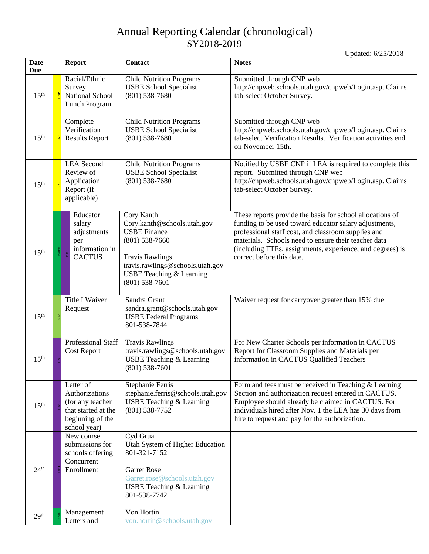| <b>Date</b><br>Due |                | <b>Report</b>                                                                                              | <b>Contact</b>                                                                                                                                                                                                  | <b>Notes</b>                                                                                                                                                                                                                                                                                                                 |
|--------------------|----------------|------------------------------------------------------------------------------------------------------------|-----------------------------------------------------------------------------------------------------------------------------------------------------------------------------------------------------------------|------------------------------------------------------------------------------------------------------------------------------------------------------------------------------------------------------------------------------------------------------------------------------------------------------------------------------|
| 15 <sup>th</sup>   | <b>B</b>       | Racial/Ethnic<br>Survey<br>National School<br>Lunch Program                                                | <b>Child Nutrition Programs</b><br><b>USBE School Specialist</b><br>$(801)$ 538-7680                                                                                                                            | Submitted through CNP web<br>http://cnpweb.schools.utah.gov/cnpweb/Login.asp. Claims<br>tab-select October Survey.                                                                                                                                                                                                           |
| 15 <sup>th</sup>   | <b>B</b>       | Complete<br>Verification<br><b>Results Report</b>                                                          | <b>Child Nutrition Programs</b><br><b>USBE School Specialist</b><br>$(801)$ 538-7680                                                                                                                            | Submitted through CNP web<br>http://cnpweb.schools.utah.gov/cnpweb/Login.asp. Claims<br>tab-select Verification Results. Verification activities end<br>on November 15th.                                                                                                                                                    |
| 15 <sup>th</sup>   | $\overline{z}$ | <b>LEA</b> Second<br>Review of<br>Application<br>Report (if<br>applicable)                                 | <b>Child Nutrition Programs</b><br><b>USBE School Specialist</b><br>$(801)$ 538-7680                                                                                                                            | Notified by USBE CNP if LEA is required to complete this<br>report. Submitted through CNP web<br>http://cnpweb.schools.utah.gov/cnpweb/Login.asp. Claims<br>tab-select October Survey.                                                                                                                                       |
| 15 <sup>th</sup>   |                | Educator<br>salary<br>adjustments<br>per<br>information in<br><b>CACTUS</b>                                | Cory Kanth<br>Cory.kanth@schools.utah.gov<br><b>USBE Finance</b><br>$(801) 538 - 7660$<br><b>Travis Rawlings</b><br>travis.rawlings@schools.utah.gov<br><b>USBE Teaching &amp; Learning</b><br>$(801)$ 538-7601 | These reports provide the basis for school allocations of<br>funding to be used toward educator salary adjustments,<br>professional staff cost, and classroom supplies and<br>materials. Schools need to ensure their teacher data<br>(including FTEs, assignments, experience, and degrees) is<br>correct before this date. |
| 15 <sup>th</sup>   | <b>SAS</b>     | <b>Title I Waiver</b><br>Request                                                                           | Sandra Grant<br>sandra.grant@schools.utah.gov<br><b>USBE Federal Programs</b><br>801-538-7844                                                                                                                   | Waiver request for carryover greater than 15% due                                                                                                                                                                                                                                                                            |
| 15 <sup>th</sup>   |                | <b>Professional Staff</b><br><b>Cost Report</b>                                                            | <b>Travis Rawlings</b><br>travis.rawlings@schools.utah.gov<br><b>USBE Teaching &amp; Learning</b><br>$(801)$ 538-7601                                                                                           | For New Charter Schools per information in CACTUS<br>Report for Classroom Supplies and Materials per<br>information in CACTUS Qualified Teachers                                                                                                                                                                             |
| 15 <sup>th</sup>   |                | Letter of<br>Authorizations<br>(for any teacher<br>that started at the<br>beginning of the<br>school year) | Stephanie Ferris<br>stephanie.ferris@schools.utah.gov<br><b>USBE Teaching &amp; Learning</b><br>$(801)$ 538-7752                                                                                                | Form and fees must be received in Teaching $&$ Learning<br>Section and authorization request entered in CACTUS.<br>Employee should already be claimed in CACTUS. For<br>individuals hired after Nov. 1 the LEA has 30 days from<br>hire to request and pay for the authorization.                                            |
| 24 <sup>th</sup>   |                | New course<br>submissions for<br>schools offering<br>Concurrent<br>Enrollment                              | Cyd Grua<br>Utah System of Higher Education<br>801-321-7152<br><b>Garret Rose</b><br>Garret.rose@schools.utah.gov<br><b>USBE Teaching &amp; Learning</b><br>801-538-7742                                        |                                                                                                                                                                                                                                                                                                                              |
| 29 <sup>th</sup>   |                | Management<br>Letters and                                                                                  | Von Hortin<br>von.hortin@schools.utah.gov                                                                                                                                                                       |                                                                                                                                                                                                                                                                                                                              |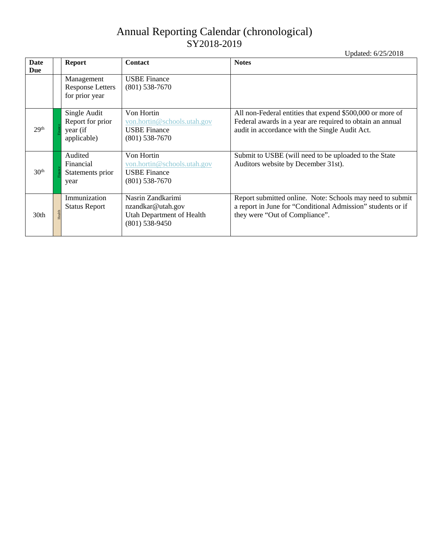|                  |                                                             |                                                                                         | Updated: 6/25/2018                                                                                                                                                       |
|------------------|-------------------------------------------------------------|-----------------------------------------------------------------------------------------|--------------------------------------------------------------------------------------------------------------------------------------------------------------------------|
| Date<br>Due      | <b>Report</b>                                               | <b>Contact</b>                                                                          | <b>Notes</b>                                                                                                                                                             |
|                  | Management<br><b>Response Letters</b><br>for prior year     | <b>USBE Finance</b><br>$(801)$ 538-7670                                                 |                                                                                                                                                                          |
| 29 <sup>th</sup> | Single Audit<br>Report for prior<br>year (if<br>applicable) | Von Hortin<br>von.hortin@schools.utah.gov<br><b>USBE</b> Finance<br>$(801)$ 538-7670    | All non-Federal entities that expend \$500,000 or more of<br>Federal awards in a year are required to obtain an annual<br>audit in accordance with the Single Audit Act. |
| 30 <sup>th</sup> | Audited<br>Financial<br>Statements prior<br>year            | Von Hortin<br>von.hortin@schools.utah.gov<br><b>USBE Finance</b><br>$(801)$ 538-7670    | Submit to USBE (will need to be uploaded to the State<br>Auditors website by December 31st).                                                                             |
| 30th             | Immunization<br><b>Status Report</b><br>Health              | Nasrin Zandkarimi<br>nzandkar@utah.gov<br>Utah Department of Health<br>$(801)$ 538-9450 | Report submitted online. Note: Schools may need to submit<br>a report in June for "Conditional Admission" students or if<br>they were "Out of Compliance".               |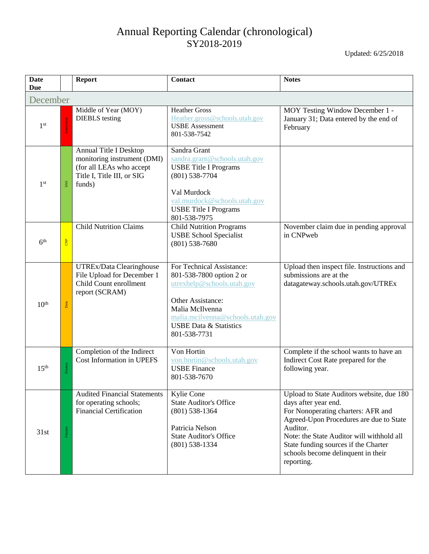<span id="page-15-0"></span>

| <b>Date</b><br><b>Due</b> |            | <b>Report</b>                                                                                                                    | <b>Contact</b>                                                                                                                                                                                                       | <b>Notes</b>                                                                                                                                                                                                                                                                                            |  |  |  |
|---------------------------|------------|----------------------------------------------------------------------------------------------------------------------------------|----------------------------------------------------------------------------------------------------------------------------------------------------------------------------------------------------------------------|---------------------------------------------------------------------------------------------------------------------------------------------------------------------------------------------------------------------------------------------------------------------------------------------------------|--|--|--|
| December                  |            |                                                                                                                                  |                                                                                                                                                                                                                      |                                                                                                                                                                                                                                                                                                         |  |  |  |
| 1 <sup>st</sup>           |            | Middle of Year (MOY)<br><b>DIEBLS</b> testing                                                                                    | <b>Heather Gross</b><br>Heather.gross@schools.utah.gov<br><b>USBE</b> Assessment<br>801-538-7542                                                                                                                     | MOY Testing Window December 1 -<br>January 31; Data entered by the end of<br>February                                                                                                                                                                                                                   |  |  |  |
| 1 <sup>st</sup>           | SAS        | <b>Annual Title I Desktop</b><br>monitoring instrument (DMI)<br>(for all LEAs who accept<br>Title I, Title III, or SIG<br>funds) | Sandra Grant<br>sandra.grant@schools.utah.gov<br><b>USBE Title I Programs</b><br>$(801) 538 - 7704$<br>Val Murdock<br>val.murdock@schools.utah.gov<br><b>USBE Title I Programs</b><br>801-538-7975                   |                                                                                                                                                                                                                                                                                                         |  |  |  |
| 6 <sup>th</sup>           | <b>CNP</b> | <b>Child Nutrition Claims</b>                                                                                                    | <b>Child Nutrition Programs</b><br><b>USBE School Specialist</b><br>$(801)$ 538-7680                                                                                                                                 | November claim due in pending approval<br>in CNPweb                                                                                                                                                                                                                                                     |  |  |  |
| 10 <sup>th</sup>          | Data       | UTREx/Data Clearinghouse<br>File Upload for December 1<br>Child Count enrollment<br>report (SCRAM)                               | For Technical Assistance:<br>801-538-7800 option 2 or<br>utrexhelp@schools.utah.gov<br>Other Assistance:<br>Malia McIlvenna<br>malia.mcilvenna@schools.utah.gov<br><b>USBE Data &amp; Statistics</b><br>801-538-7731 | Upload then inspect file. Instructions and<br>submissions are at the<br>datagateway.schools.utah.gov/UTREx                                                                                                                                                                                              |  |  |  |
| 15 <sup>th</sup>          | Finance    | Completion of the Indirect<br><b>Cost Information in UPEFS</b>                                                                   | Von Hortin<br>von.hortin@schools.utah.gov<br><b>USBE Finance</b><br>801-538-7670                                                                                                                                     | Complete if the school wants to have an<br>Indirect Cost Rate prepared for the<br>following year.                                                                                                                                                                                                       |  |  |  |
| 31st                      | Finance    | <b>Audited Financial Statements</b><br>for operating schools;<br><b>Financial Certification</b>                                  | Kylie Cone<br><b>State Auditor's Office</b><br>$(801)$ 538-1364<br>Patricia Nelson<br><b>State Auditor's Office</b><br>$(801)$ 538-1334                                                                              | Upload to State Auditors website, due 180<br>days after year end.<br>For Nonoperating charters: AFR and<br>Agreed-Upon Procedures are due to State<br>Auditor.<br>Note: the State Auditor will withhold all<br>State funding sources if the Charter<br>schools become delinquent in their<br>reporting. |  |  |  |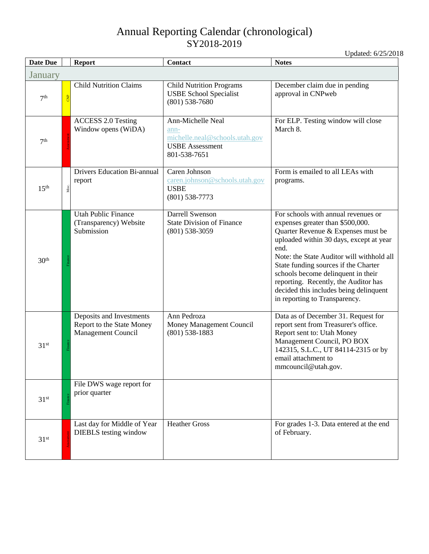<span id="page-16-0"></span>

| <b>Date Due</b>  | <b>Report</b>                                                               | Contact                                                                                               | <b>Notes</b>                                                                                                                                                                                                                                                                                                                                                                                                   |  |  |  |
|------------------|-----------------------------------------------------------------------------|-------------------------------------------------------------------------------------------------------|----------------------------------------------------------------------------------------------------------------------------------------------------------------------------------------------------------------------------------------------------------------------------------------------------------------------------------------------------------------------------------------------------------------|--|--|--|
| January          |                                                                             |                                                                                                       |                                                                                                                                                                                                                                                                                                                                                                                                                |  |  |  |
| 7 <sup>th</sup>  | <b>Child Nutrition Claims</b><br><b>B</b>                                   | <b>Child Nutrition Programs</b><br><b>USBE School Specialist</b><br>$(801)$ 538-7680                  | December claim due in pending<br>approval in CNPweb                                                                                                                                                                                                                                                                                                                                                            |  |  |  |
| 7 <sup>th</sup>  | <b>ACCESS 2.0 Testing</b><br>Window opens (WiDA)                            | Ann-Michelle Neal<br>ann-<br>michelle.neal@schools.utah.gov<br><b>USBE</b> Assessment<br>801-538-7651 | For ELP. Testing window will close<br>March 8.                                                                                                                                                                                                                                                                                                                                                                 |  |  |  |
| 15 <sup>th</sup> | <b>Drivers Education Bi-annual</b><br>report<br>Misc.                       | Caren Johnson<br>caren.johnson@schools.utah.gov<br><b>USBE</b><br>$(801)$ 538-7773                    | Form is emailed to all LEAs with<br>programs.                                                                                                                                                                                                                                                                                                                                                                  |  |  |  |
| 30 <sup>th</sup> | <b>Utah Public Finance</b><br>(Transparency) Website<br>Submission          | <b>Darrell Swenson</b><br><b>State Division of Finance</b><br>$(801)$ 538-3059                        | For schools with annual revenues or<br>expenses greater than \$500,000.<br>Quarter Revenue & Expenses must be<br>uploaded within 30 days, except at year<br>end.<br>Note: the State Auditor will withhold all<br>State funding sources if the Charter<br>schools become delinquent in their<br>reporting. Recently, the Auditor has<br>decided this includes being delinquent<br>in reporting to Transparency. |  |  |  |
| 31 <sup>st</sup> | Deposits and Investments<br>Report to the State Money<br>Management Council | Ann Pedroza<br>Money Management Council<br>$(801)$ 538-1883                                           | Data as of December 31. Request for<br>report sent from Treasurer's office.<br>Report sent to: Utah Money<br>Management Council, PO BOX<br>142315, S.L.C., UT 84114-2315 or by<br>email attachment to<br>mmcouncil@utah.gov.                                                                                                                                                                                   |  |  |  |
| 31 <sup>st</sup> | File DWS wage report for<br>prior quarter                                   |                                                                                                       |                                                                                                                                                                                                                                                                                                                                                                                                                |  |  |  |
| 31 <sup>st</sup> | Last day for Middle of Year<br><b>DIEBLS</b> testing window                 | <b>Heather Gross</b>                                                                                  | For grades 1-3. Data entered at the end<br>of February.                                                                                                                                                                                                                                                                                                                                                        |  |  |  |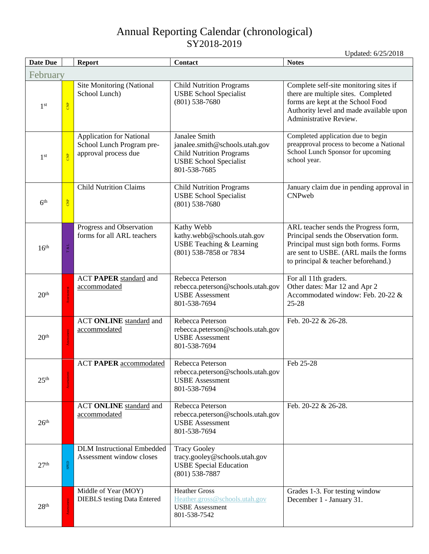<span id="page-17-0"></span>

| <b>Date Due</b>  |                | <b>Report</b>                                                                        | <b>Contact</b>                                                                                                                      | <b>Notes</b>                                                                                                                                                                                            |  |  |
|------------------|----------------|--------------------------------------------------------------------------------------|-------------------------------------------------------------------------------------------------------------------------------------|---------------------------------------------------------------------------------------------------------------------------------------------------------------------------------------------------------|--|--|
| February         |                |                                                                                      |                                                                                                                                     |                                                                                                                                                                                                         |  |  |
| 1 <sup>st</sup>  | $rac{P}{C}$    | Site Monitoring (National<br>School Lunch)                                           | <b>Child Nutrition Programs</b><br><b>USBE School Specialist</b><br>$(801)$ 538-7680                                                | Complete self-site monitoring sites if<br>there are multiple sites. Completed<br>forms are kept at the School Food<br>Authority level and made available upon<br>Administrative Review.                 |  |  |
| 1 <sup>st</sup>  | $\overline{a}$ | <b>Application for National</b><br>School Lunch Program pre-<br>approval process due | Janalee Smith<br>janalee.smith@schools.utah.gov<br><b>Child Nutrition Programs</b><br><b>USBE School Specialist</b><br>801-538-7685 | Completed application due to begin<br>preapproval process to become a National<br>School Lunch Sponsor for upcoming<br>school year.                                                                     |  |  |
| 6 <sup>th</sup>  | $rac{P}{C}$    | <b>Child Nutrition Claims</b>                                                        | <b>Child Nutrition Programs</b><br><b>USBE School Specialist</b><br>$(801)$ 538-7680                                                | January claim due in pending approval in<br><b>CNPweb</b>                                                                                                                                               |  |  |
| 16 <sup>th</sup> | $\Gamma$ & L   | Progress and Observation<br>forms for all ARL teachers                               | Kathy Webb<br>kathy.webb@schools.utah.gov<br>USBE Teaching & Learning<br>(801) 538-7858 or 7834                                     | ARL teacher sends the Progress form,<br>Principal sends the Observation form.<br>Principal must sign both forms. Forms<br>are sent to USBE. (ARL mails the forms<br>to principal & teacher beforehand.) |  |  |
| 20 <sup>th</sup> |                | <b>ACT PAPER standard and</b><br>accommodated                                        | Rebecca Peterson<br>rebecca.peterson@schools.utah.gov<br><b>USBE</b> Assessment<br>801-538-7694                                     | For all 11th graders.<br>Other dates: Mar 12 and Apr 2<br>Accommodated window: Feb. 20-22 &<br>$25 - 28$                                                                                                |  |  |
| 20 <sup>th</sup> |                | ACT ONLINE standard and<br>accommodated                                              | Rebecca Peterson<br>rebecca.peterson@schools.utah.gov<br><b>USBE</b> Assessment<br>801-538-7694                                     | Feb. 20-22 & 26-28.                                                                                                                                                                                     |  |  |
| 25 <sup>th</sup> |                | <b>ACT PAPER accommodated</b>                                                        | Rebecca Peterson<br>rebecca.peterson@schools.utah.gov<br><b>USBE</b> Assessment<br>801-538-7694                                     | Feb 25-28                                                                                                                                                                                               |  |  |
| 26 <sup>th</sup> |                | ACT ONLINE standard and<br>accommodated                                              | Rebecca Peterson<br>rebecca.peterson@schools.utah.gov<br><b>USBE</b> Assessment<br>801-538-7694                                     | Feb. 20-22 & 26-28.                                                                                                                                                                                     |  |  |
| 27 <sup>th</sup> | SPED           | <b>DLM</b> Instructional Embedded<br>Assessment window closes                        | <b>Tracy Gooley</b><br>tracy.gooley@schools.utah.gov<br><b>USBE Special Education</b><br>$(801)$ 538-7887                           |                                                                                                                                                                                                         |  |  |
| 28 <sup>th</sup> |                | Middle of Year (MOY)<br><b>DIEBLS</b> testing Data Entered                           | <b>Heather Gross</b><br>Heather.gross@schools.utah.gov<br><b>USBE</b> Assessment<br>801-538-7542                                    | Grades 1-3. For testing window<br>December 1 - January 31.                                                                                                                                              |  |  |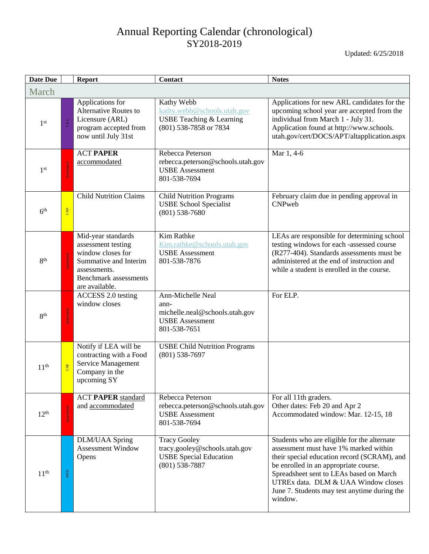<span id="page-18-0"></span>

| Date Due         |                | <b>Report</b>                                                                                                                                            | Contact                                                                                                    | <b>Notes</b>                                                                                                                                                                                                                                                                                                              |
|------------------|----------------|----------------------------------------------------------------------------------------------------------------------------------------------------------|------------------------------------------------------------------------------------------------------------|---------------------------------------------------------------------------------------------------------------------------------------------------------------------------------------------------------------------------------------------------------------------------------------------------------------------------|
| March            |                |                                                                                                                                                          |                                                                                                            |                                                                                                                                                                                                                                                                                                                           |
| 1 <sup>st</sup>  |                | Applications for<br><b>Alternative Routes to</b><br>Licensure (ARL)<br>program accepted from<br>now until July 31st                                      | Kathy Webb<br>kathy.webb@schools.utah.gov<br><b>USBE Teaching &amp; Learning</b><br>(801) 538-7858 or 7834 | Applications for new ARL candidates for the<br>upcoming school year are accepted from the<br>individual from March 1 - July 31.<br>Application found at http://www.schools.<br>utah.gov/cert/DOCS/APT/altapplication.aspx                                                                                                 |
| 1 <sup>st</sup>  |                | <b>ACT PAPER</b><br>accommodated                                                                                                                         | Rebecca Peterson<br>rebecca.peterson@schools.utah.gov<br><b>USBE</b> Assessment<br>801-538-7694            | Mar 1, 4-6                                                                                                                                                                                                                                                                                                                |
| 6 <sup>th</sup>  | CNP            | <b>Child Nutrition Claims</b>                                                                                                                            | <b>Child Nutrition Programs</b><br><b>USBE School Specialist</b><br>$(801)$ 538-7680                       | February claim due in pending approval in<br>CNPweb                                                                                                                                                                                                                                                                       |
| 8 <sup>th</sup>  |                | Mid-year standards<br>assessment testing<br>window closes for<br>Summative and Interim<br>assessments.<br><b>Benchmark</b> assessments<br>are available. | Kim Rathke<br>Kim.rathke@schools.utah.gov<br><b>USBE</b> Assessment<br>801-538-7876                        | LEAs are responsible for determining school<br>testing windows for each -assessed course<br>(R277-404). Standards assessments must be<br>administered at the end of instruction and<br>while a student is enrolled in the course.                                                                                         |
| 8 <sup>th</sup>  |                | ACCESS 2.0 testing<br>window closes                                                                                                                      | Ann-Michelle Neal<br>ann-<br>michelle.neal@schools.utah.gov<br><b>USBE</b> Assessment<br>801-538-7651      | For ELP.                                                                                                                                                                                                                                                                                                                  |
| 11 <sup>th</sup> | $\overline{g}$ | Notify if LEA will be<br>contracting with a Food<br>Service Management<br>Company in the<br>upcoming SY                                                  | <b>USBE Child Nutrition Programs</b><br>$(801)$ 538-7697                                                   |                                                                                                                                                                                                                                                                                                                           |
| 12 <sup>th</sup> |                | <b>ACT PAPER standard</b><br>and accommodated                                                                                                            | Rebecca Peterson<br>rebecca.peterson@schools.utah.gov<br><b>USBE</b> Assessment<br>801-538-7694            | For all 11th graders.<br>Other dates: Feb 20 and Apr 2<br>Accommodated window: Mar. 12-15, 18                                                                                                                                                                                                                             |
| 11 <sup>th</sup> | SPED           | DLM/UAA Spring<br><b>Assessment Window</b><br>Opens                                                                                                      | <b>Tracy Gooley</b><br>tracy.gooley@schools.utah.gov<br><b>USBE Special Education</b><br>$(801)$ 538-7887  | Students who are eligible for the alternate<br>assessment must have 1% marked within<br>their special education record (SCRAM), and<br>be enrolled in an appropriate course.<br>Spreadsheet sent to LEAs based on March<br>UTREx data. DLM & UAA Window closes<br>June 7. Students may test anytime during the<br>window. |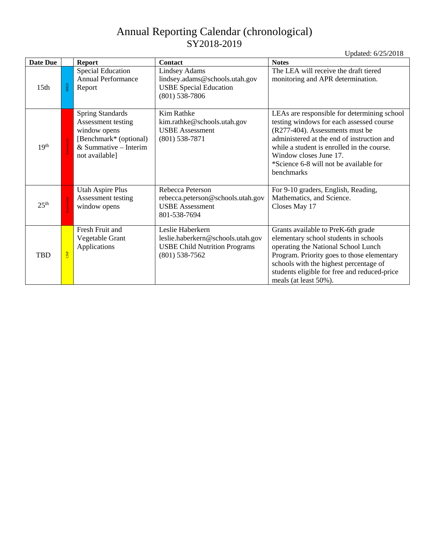| <b>Date Due</b>  |                | <b>Report</b>                                                                                                                        | <b>Contact</b>                                                                                                    | <b>Notes</b>                                                                                                                                                                                                                                                                                             |
|------------------|----------------|--------------------------------------------------------------------------------------------------------------------------------------|-------------------------------------------------------------------------------------------------------------------|----------------------------------------------------------------------------------------------------------------------------------------------------------------------------------------------------------------------------------------------------------------------------------------------------------|
| 15 <sub>th</sub> | SPED           | <b>Special Education</b><br><b>Annual Performance</b><br>Report                                                                      | <b>Lindsey Adams</b><br>lindsey.adams@schools.utah.gov<br><b>USBE Special Education</b><br>$(801)$ 538-7806       | The LEA will receive the draft tiered<br>monitoring and APR determination.                                                                                                                                                                                                                               |
| 19 <sup>th</sup> |                | <b>Spring Standards</b><br>Assessment testing<br>window opens<br>[Benchmark* (optional)<br>& Summative $-$ Interim<br>not available] | Kim Rathke<br>kim.rathke@schools.utah.gov<br><b>USBE</b> Assessment<br>$(801)$ 538-7871                           | LEAs are responsible for determining school<br>testing windows for each assessed course<br>(R277-404). Assessments must be<br>administered at the end of instruction and<br>while a student is enrolled in the course.<br>Window closes June 17.<br>*Science 6-8 will not be available for<br>benchmarks |
| 25 <sup>th</sup> |                | <b>Utah Aspire Plus</b><br>Assessment testing<br>window opens                                                                        | Rebecca Peterson<br>rebecca.peterson@schools.utah.gov<br><b>USBE</b> Assessment<br>801-538-7694                   | For 9-10 graders, English, Reading,<br>Mathematics, and Science.<br>Closes May 17                                                                                                                                                                                                                        |
| <b>TBD</b>       | $\overline{B}$ | Fresh Fruit and<br>Vegetable Grant<br>Applications                                                                                   | Leslie Haberkern<br>leslie.haberkern@schools.utah.gov<br><b>USBE Child Nutrition Programs</b><br>$(801)$ 538-7562 | Grants available to PreK-6th grade<br>elementary school students in schools<br>operating the National School Lunch<br>Program. Priority goes to those elementary<br>schools with the highest percentage of<br>students eligible for free and reduced-price<br>meals (at least 50%).                      |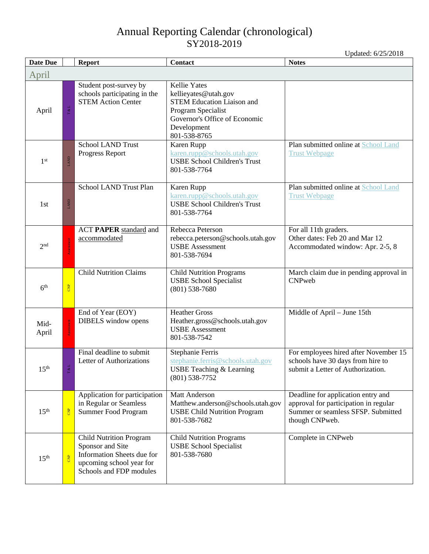<span id="page-20-0"></span>

| <b>Date Due</b>  |            | <b>Report</b>                                                                                                                           | Contact                                                                                                                                                                | <b>Notes</b>                                                                                                                        |
|------------------|------------|-----------------------------------------------------------------------------------------------------------------------------------------|------------------------------------------------------------------------------------------------------------------------------------------------------------------------|-------------------------------------------------------------------------------------------------------------------------------------|
| April            |            |                                                                                                                                         |                                                                                                                                                                        |                                                                                                                                     |
| April            | T&L        | Student post-survey by<br>schools participating in the<br><b>STEM Action Center</b>                                                     | <b>Kellie Yates</b><br>kellieyates@utah.gov<br><b>STEM Education Liaison and</b><br>Program Specialist<br>Governor's Office of Economic<br>Development<br>801-538-8765 |                                                                                                                                     |
| 1 <sup>st</sup>  | LAND       | <b>School LAND Trust</b><br>Progress Report                                                                                             | Karen Rupp<br>karen.rupp@schools.utah.gov<br><b>USBE School Children's Trust</b><br>801-538-7764                                                                       | Plan submitted online at School Land<br><b>Trust Webpage</b>                                                                        |
| 1 <sub>st</sub>  | LAND       | School LAND Trust Plan                                                                                                                  | Karen Rupp<br>karen.rupp@schools.utah.gov<br><b>USBE School Children's Trust</b><br>801-538-7764                                                                       | Plan submitted online at School Land<br><b>Trust Webpage</b>                                                                        |
| 2 <sup>nd</sup>  |            | <b>ACT PAPER</b> standard and<br>accommodated                                                                                           | Rebecca Peterson<br>rebecca.peterson@schools.utah.gov<br><b>USBE</b> Assessment<br>801-538-7694                                                                        | For all 11th graders.<br>Other dates: Feb 20 and Mar 12<br>Accommodated window: Apr. 2-5, 8                                         |
| 6 <sup>th</sup>  | <b>CNP</b> | <b>Child Nutrition Claims</b>                                                                                                           | <b>Child Nutrition Programs</b><br><b>USBE School Specialist</b><br>$(801)$ 538-7680                                                                                   | March claim due in pending approval in<br>CNPweb                                                                                    |
| Mid-<br>April    |            | End of Year (EOY)<br>DIBELS window opens                                                                                                | <b>Heather Gross</b><br>Heather.gross@schools.utah.gov<br><b>USBE</b> Assessment<br>801-538-7542                                                                       | Middle of April - June 15th                                                                                                         |
| 15 <sup>th</sup> |            | Final deadline to submit<br>Letter of Authorizations                                                                                    | Stephanie Ferris<br>stephanie.ferris@schools.utah.gov<br>USBE Teaching & Learning<br>$(801)$ 538-7752                                                                  | For employees hired after November 15<br>schools have 30 days from hire to<br>submit a Letter of Authorization.                     |
| 15 <sup>th</sup> | <b>B</b>   | Application for participation<br>in Regular or Seamless<br>Summer Food Program                                                          | Matt Anderson<br>Matthew.anderson@schools.utah.gov<br><b>USBE Child Nutrition Program</b><br>801-538-7682                                                              | Deadline for application entry and<br>approval for participation in regular<br>Summer or seamless SFSP. Submitted<br>though CNPweb. |
| 15 <sup>th</sup> | <b>CNP</b> | <b>Child Nutrition Program</b><br>Sponsor and Site<br>Information Sheets due for<br>upcoming school year for<br>Schools and FDP modules | <b>Child Nutrition Programs</b><br><b>USBE School Specialist</b><br>801-538-7680                                                                                       | Complete in CNPweb                                                                                                                  |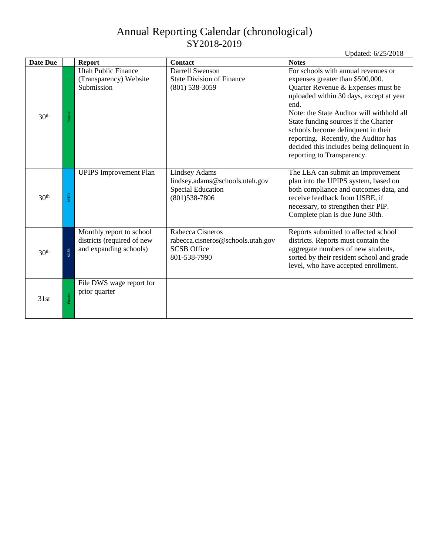| <b>Date Due</b>  |         | <b>Report</b>                                                                    | <b>Contact</b>                                                                                 | <b>Notes</b>                                                                                                                                                                                                                                                                                                                                                                                                   |
|------------------|---------|----------------------------------------------------------------------------------|------------------------------------------------------------------------------------------------|----------------------------------------------------------------------------------------------------------------------------------------------------------------------------------------------------------------------------------------------------------------------------------------------------------------------------------------------------------------------------------------------------------------|
| 30 <sup>th</sup> | Finance | <b>Utah Public Finance</b><br>(Transparency) Website<br>Submission               | <b>Darrell Swenson</b><br><b>State Division of Finance</b><br>$(801)$ 538-3059                 | For schools with annual revenues or<br>expenses greater than \$500,000.<br>Quarter Revenue & Expenses must be<br>uploaded within 30 days, except at year<br>end.<br>Note: the State Auditor will withhold all<br>State funding sources if the Charter<br>schools become delinquent in their<br>reporting. Recently, the Auditor has<br>decided this includes being delinquent in<br>reporting to Transparency. |
| 30 <sup>th</sup> | SPED    | <b>UPIPS</b> Improvement Plan                                                    | Lindsey Adams<br>lindsey.adams@schools.utah.gov<br><b>Special Education</b><br>$(801)538-7806$ | The LEA can submit an improvement<br>plan into the UPIPS system, based on<br>both compliance and outcomes data, and<br>receive feedback from USBE, if<br>necessary, to strengthen their PIP.<br>Complete plan is due June 30th.                                                                                                                                                                                |
| 30 <sup>th</sup> | SCSB    | Monthly report to school<br>districts (required of new<br>and expanding schools) | Rabecca Cisneros<br>rabecca.cisneros@schools.utah.gov<br><b>SCSB</b> Office<br>801-538-7990    | Reports submitted to affected school<br>districts. Reports must contain the<br>aggregate numbers of new students,<br>sorted by their resident school and grade<br>level, who have accepted enrollment.                                                                                                                                                                                                         |
| 31st             | Finance | File DWS wage report for<br>prior quarter                                        |                                                                                                |                                                                                                                                                                                                                                                                                                                                                                                                                |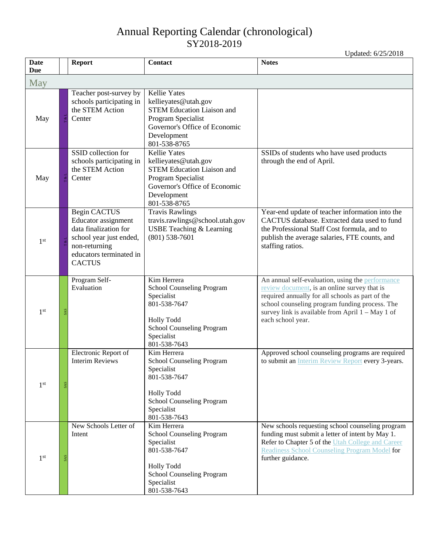<span id="page-22-0"></span>

| <b>Date</b><br><b>Due</b> | <b>Report</b>                                                                                                                                        | Contact                                                                                                                                                                | <b>Notes</b>                                                                                                                                                                                                                                                                    |
|---------------------------|------------------------------------------------------------------------------------------------------------------------------------------------------|------------------------------------------------------------------------------------------------------------------------------------------------------------------------|---------------------------------------------------------------------------------------------------------------------------------------------------------------------------------------------------------------------------------------------------------------------------------|
| May                       |                                                                                                                                                      |                                                                                                                                                                        |                                                                                                                                                                                                                                                                                 |
| May                       | Teacher post-survey by<br>schools participating in<br>the STEM Action<br>Center                                                                      | <b>Kellie Yates</b><br>kellieyates@utah.gov<br><b>STEM Education Liaison and</b><br>Program Specialist<br>Governor's Office of Economic<br>Development<br>801-538-8765 |                                                                                                                                                                                                                                                                                 |
| May                       | SSID collection for<br>schools participating in<br>the STEM Action<br>Center                                                                         | <b>Kellie</b> Yates<br>kellieyates@utah.gov<br><b>STEM Education Liaison and</b><br>Program Specialist<br>Governor's Office of Economic<br>Development<br>801-538-8765 | SSIDs of students who have used products<br>through the end of April.                                                                                                                                                                                                           |
| 1 <sup>st</sup>           | Begin CACTUS<br>Educator assignment<br>data finalization for<br>school year just ended,<br>non-returning<br>educators terminated in<br><b>CACTUS</b> | <b>Travis Rawlings</b><br>travis.rawlings@school.utah.gov<br><b>USBE Teaching &amp; Learning</b><br>$(801)$ 538-7601                                                   | Year-end update of teacher information into the<br>CACTUS database. Extracted data used to fund<br>the Professional Staff Cost formula, and to<br>publish the average salaries, FTE counts, and<br>staffing ratios.                                                             |
| 1 <sup>st</sup>           | Program Self-<br>Evaluation                                                                                                                          | Kim Herrera<br>School Counseling Program<br>Specialist<br>801-538-7647<br><b>Holly Todd</b><br>School Counseling Program<br>Specialist<br>801-538-7643                 | An annual self-evaluation, using the performance<br>review document, is an online survey that is<br>required annually for all schools as part of the<br>school counseling program funding process. The<br>survey link is available from April 1 - May 1 of<br>each school year. |
| 1 <sup>st</sup>           | Electronic Report of<br><b>Interim Reviews</b>                                                                                                       | Kim Herrera<br>School Counseling Program<br>Specialist<br>801-538-7647<br><b>Holly Todd</b><br>School Counseling Program<br>Specialist<br>801-538-7643                 | Approved school counseling programs are required<br>to submit an Interim Review Report every 3-years.                                                                                                                                                                           |
| 1 <sup>st</sup>           | New Schools Letter of<br>Intent                                                                                                                      | Kim Herrera<br>School Counseling Program<br>Specialist<br>801-538-7647<br><b>Holly Todd</b><br>School Counseling Program<br>Specialist<br>801-538-7643                 | New schools requesting school counseling program<br>funding must submit a letter of intent by May 1.<br>Refer to Chapter 5 of the Utah College and Career<br>Readiness School Counseling Program Model for<br>further guidance.                                                 |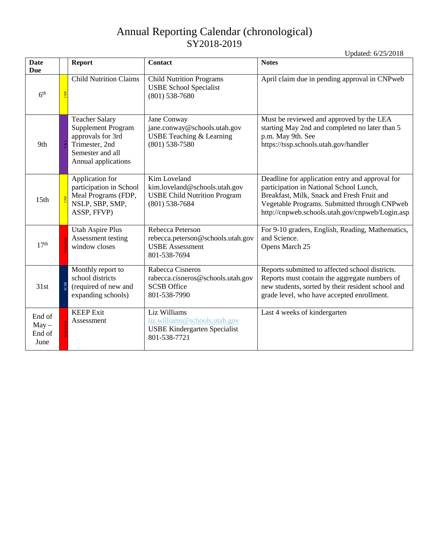| <b>Date</b><br><b>Due</b>           |     | <b>Report</b>                                                                                                                        | <b>Contact</b>                                                                                           | <b>Notes</b>                                                                                                                                                                                                                                |
|-------------------------------------|-----|--------------------------------------------------------------------------------------------------------------------------------------|----------------------------------------------------------------------------------------------------------|---------------------------------------------------------------------------------------------------------------------------------------------------------------------------------------------------------------------------------------------|
| 6 <sup>th</sup>                     |     | <b>Child Nutrition Claims</b>                                                                                                        | <b>Child Nutrition Programs</b><br><b>USBE School Specialist</b><br>$(801)$ 538-7680                     | April claim due in pending approval in CNPweb                                                                                                                                                                                               |
| 9th                                 |     | <b>Teacher Salary</b><br><b>Supplement Program</b><br>approvals for 3rd<br>Trimester, 2nd<br>Semester and all<br>Annual applications | Jane Conway<br>jane.conway@schools.utah.gov<br><b>USBE Teaching &amp; Learning</b><br>$(801)$ 538-7580   | Must be reviewed and approved by the LEA<br>starting May 2nd and completed no later than 5<br>p.m. May 9th. See<br>https://tssp.schools.utah.gov/handler                                                                                    |
| 15 <sub>th</sub>                    |     | Application for<br>participation in School<br>Meal Programs (FDP,<br>NSLP, SBP, SMP,<br>ASSP, FFVP)                                  | Kim Loveland<br>kim.loveland@schools.utah.gov<br><b>USBE Child Nutrition Program</b><br>$(801)$ 538-7684 | Deadline for application entry and approval for<br>participation in National School Lunch,<br>Breakfast, Milk, Snack and Fresh Fruit and<br>Vegetable Programs. Submitted through CNPweb<br>http://cnpweb.schools.utah.gov/cnpweb/Login.asp |
| 17 <sup>th</sup>                    |     | <b>Utah Aspire Plus</b><br>Assessment testing<br>window closes                                                                       | Rebecca Peterson<br>rebecca.peterson@schools.utah.gov<br><b>USBE</b> Assessment<br>801-538-7694          | For 9-10 graders, English, Reading, Mathematics,<br>and Science.<br>Opens March 25                                                                                                                                                          |
| 31st                                | CSB | Monthly report to<br>school districts<br>(required of new and<br>expanding schools)                                                  | Rabecca Cisneros<br>rabecca.cisneros@schools.utah.gov<br><b>SCSB</b> Office<br>801-538-7990              | Reports submitted to affected school districts.<br>Reports must contain the aggregate numbers of<br>new students, sorted by their resident school and<br>grade level, who have accepted enrollment.                                         |
| End of<br>$May -$<br>End of<br>June |     | <b>KEEP Exit</b><br>Assessment                                                                                                       | Liz Williams<br>liz.williams@schools.utah.gov<br><b>USBE Kindergarten Specialist</b><br>801-538-7721     | Last 4 weeks of kindergarten                                                                                                                                                                                                                |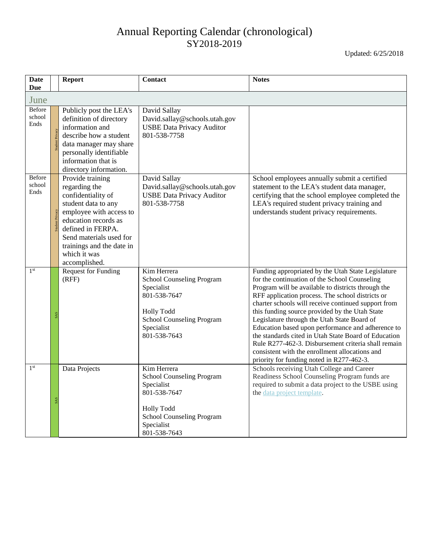<span id="page-24-0"></span>

| <b>Date</b><br><b>Due</b> |  | <b>Report</b>                                                                                                                                                                                                                                   | <b>Contact</b>                                                                                                                                                | <b>Notes</b>                                                                                                                                                                                                                                                                                                                                                                                                                                                                                                                                                                                                                             |  |
|---------------------------|--|-------------------------------------------------------------------------------------------------------------------------------------------------------------------------------------------------------------------------------------------------|---------------------------------------------------------------------------------------------------------------------------------------------------------------|------------------------------------------------------------------------------------------------------------------------------------------------------------------------------------------------------------------------------------------------------------------------------------------------------------------------------------------------------------------------------------------------------------------------------------------------------------------------------------------------------------------------------------------------------------------------------------------------------------------------------------------|--|
| June                      |  |                                                                                                                                                                                                                                                 |                                                                                                                                                               |                                                                                                                                                                                                                                                                                                                                                                                                                                                                                                                                                                                                                                          |  |
| Before<br>school<br>Ends  |  | Publicly post the LEA's<br>definition of directory<br>information and<br>describe how a student<br>data manager may share<br>personally identifiable<br>information that is<br>directory information.                                           | David Sallay<br>David.sallay@schools.utah.gov<br><b>USBE Data Privacy Auditor</b><br>801-538-7758                                                             |                                                                                                                                                                                                                                                                                                                                                                                                                                                                                                                                                                                                                                          |  |
| Before<br>school<br>Ends  |  | Provide training<br>regarding the<br>confidentiality of<br>student data to any<br>employee with access to<br>education records as<br>defined in FERPA.<br>Send materials used for<br>trainings and the date in<br>which it was<br>accomplished. | David Sallay<br>David.sallay@schools.utah.gov<br><b>USBE Data Privacy Auditor</b><br>801-538-7758                                                             | School employees annually submit a certified<br>statement to the LEA's student data manager,<br>certifying that the school employee completed the<br>LEA's required student privacy training and<br>understands student privacy requirements.                                                                                                                                                                                                                                                                                                                                                                                            |  |
| 1 <sup>st</sup>           |  | <b>Request for Funding</b><br>(RFF)                                                                                                                                                                                                             | Kim Herrera<br>School Counseling Program<br>Specialist<br>801-538-7647<br><b>Holly Todd</b><br><b>School Counseling Program</b><br>Specialist<br>801-538-7643 | Funding appropriated by the Utah State Legislature<br>for the continuation of the School Counseling<br>Program will be available to districts through the<br>RFF application process. The school districts or<br>charter schools will receive continued support from<br>this funding source provided by the Utah State<br>Legislature through the Utah State Board of<br>Education based upon performance and adherence to<br>the standards cited in Utah State Board of Education<br>Rule R277-462-3. Disbursement criteria shall remain<br>consistent with the enrollment allocations and<br>priority for funding noted in R277-462-3. |  |
| 1 <sup>st</sup>           |  | Data Projects                                                                                                                                                                                                                                   | Kim Herrera<br>School Counseling Program<br>Specialist<br>801-538-7647<br><b>Holly Todd</b><br><b>School Counseling Program</b><br>Specialist<br>801-538-7643 | Schools receiving Utah College and Career<br>Readiness School Counseling Program funds are<br>required to submit a data project to the USBE using<br>the data project template.                                                                                                                                                                                                                                                                                                                                                                                                                                                          |  |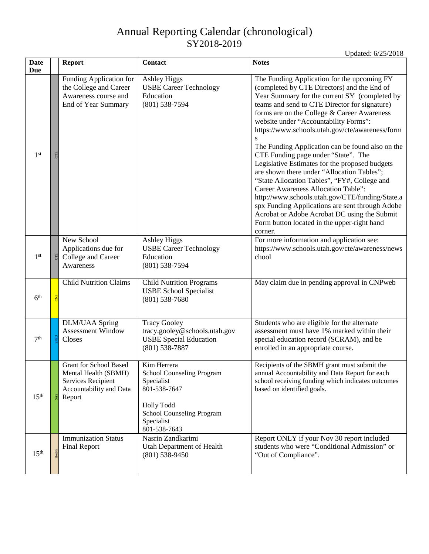| <b>Date</b><br><b>Due</b> |            | <b>Report</b>                                                                                                    | <b>Contact</b>                                                                                                                                         | <b>Notes</b>                                                                                                                                                                                                                                                                                                                                                                                                                                                                                                                                                                                                                                                                                                                                                                                                                              |
|---------------------------|------------|------------------------------------------------------------------------------------------------------------------|--------------------------------------------------------------------------------------------------------------------------------------------------------|-------------------------------------------------------------------------------------------------------------------------------------------------------------------------------------------------------------------------------------------------------------------------------------------------------------------------------------------------------------------------------------------------------------------------------------------------------------------------------------------------------------------------------------------------------------------------------------------------------------------------------------------------------------------------------------------------------------------------------------------------------------------------------------------------------------------------------------------|
| 1 <sup>st</sup>           |            | Funding Application for<br>the College and Career<br>Awareness course and<br>End of Year Summary                 | <b>Ashley Higgs</b><br><b>USBE Career Technology</b><br>Education<br>$(801)$ 538-7594                                                                  | The Funding Application for the upcoming FY<br>(completed by CTE Directors) and the End of<br>Year Summary for the current SY (completed by<br>teams and send to CTE Director for signature)<br>forms are on the College & Career Awareness<br>website under "Accountability Forms":<br>https://www.schools.utah.gov/cte/awareness/form<br>The Funding Application can be found also on the<br>CTE Funding page under "State". The<br>Legislative Estimates for the proposed budgets<br>are shown there under "Allocation Tables";<br>"State Allocation Tables", "FY#, College and<br>Career Awareness Allocation Table":<br>http://www.schools.utah.gov/CTE/funding/State.a<br>spx Funding Applications are sent through Adobe<br>Acrobat or Adobe Acrobat DC using the Submit<br>Form button located in the upper-right hand<br>corner. |
| 1 <sup>st</sup>           | <b>CTE</b> | New School<br>Applications due for<br>College and Career<br>Awareness                                            | <b>Ashley Higgs</b><br><b>USBE Career Technology</b><br>Education<br>$(801)$ 538-7594                                                                  | For more information and application see:<br>https://www.schools.utah.gov/cte/awareness/news<br>chool                                                                                                                                                                                                                                                                                                                                                                                                                                                                                                                                                                                                                                                                                                                                     |
| 6 <sup>th</sup>           |            | <b>Child Nutrition Claims</b>                                                                                    | <b>Child Nutrition Programs</b><br><b>USBE School Specialist</b><br>$(801)$ 538-7680                                                                   | May claim due in pending approval in CNPweb                                                                                                                                                                                                                                                                                                                                                                                                                                                                                                                                                                                                                                                                                                                                                                                               |
| 7 <sup>th</sup>           |            | <b>DLM/UAA Spring</b><br><b>Assessment Window</b><br>Closes                                                      | <b>Tracy Gooley</b><br>tracy.gooley@schools.utah.gov<br><b>USBE Special Education</b><br>$(801)$ 538-7887                                              | Students who are eligible for the alternate<br>assessment must have 1% marked within their<br>special education record (SCRAM), and be<br>enrolled in an appropriate course.                                                                                                                                                                                                                                                                                                                                                                                                                                                                                                                                                                                                                                                              |
| 15 <sup>th</sup>          |            | <b>Grant for School Based</b><br>Mental Health (SBMH)<br>Services Recipient<br>Accountability and Data<br>Report | Kim Herrera<br>School Counseling Program<br>Specialist<br>801-538-7647<br><b>Holly Todd</b><br>School Counseling Program<br>Specialist<br>801-538-7643 | Recipients of the SBMH grant must submit the<br>annual Accountability and Data Report for each<br>school receiving funding which indicates outcomes<br>based on identified goals.                                                                                                                                                                                                                                                                                                                                                                                                                                                                                                                                                                                                                                                         |
| 15 <sup>th</sup>          | Health     | <b>Immunization Status</b><br><b>Final Report</b>                                                                | Nasrin Zandkarimi<br><b>Utah Department of Health</b><br>$(801)$ 538-9450                                                                              | Report ONLY if your Nov 30 report included<br>students who were "Conditional Admission" or<br>"Out of Compliance".                                                                                                                                                                                                                                                                                                                                                                                                                                                                                                                                                                                                                                                                                                                        |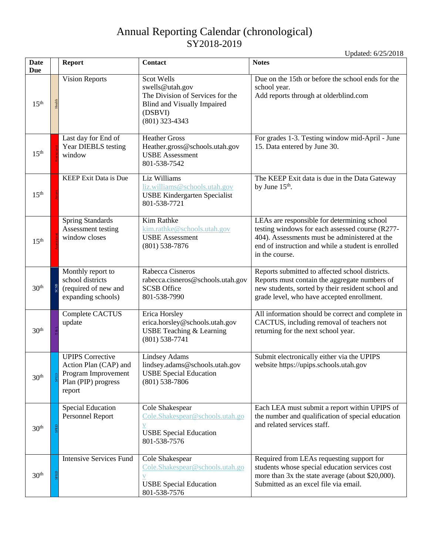| Date<br>Due      |      | <b>Report</b>                                                                                            | Contact                                                                                                                                       | <b>Notes</b>                                                                                                                                                                                                            |
|------------------|------|----------------------------------------------------------------------------------------------------------|-----------------------------------------------------------------------------------------------------------------------------------------------|-------------------------------------------------------------------------------------------------------------------------------------------------------------------------------------------------------------------------|
| 15 <sup>th</sup> |      | <b>Vision Reports</b>                                                                                    | <b>Scot Wells</b><br>swells@utah.gov<br>The Division of Services for the<br><b>Blind and Visually Impaired</b><br>(DSBVI)<br>$(801)$ 323-4343 | Due on the 15th or before the school ends for the<br>school year.<br>Add reports through at olderblind.com                                                                                                              |
| 15 <sup>th</sup> |      | Last day for End of<br>Year DIEBLS testing<br>window                                                     | <b>Heather Gross</b><br>Heather.gross@schools.utah.gov<br><b>USBE</b> Assessment<br>801-538-7542                                              | For grades 1-3. Testing window mid-April - June<br>15. Data entered by June 30.                                                                                                                                         |
| 15 <sup>th</sup> |      | <b>KEEP Exit Data is Due</b>                                                                             | Liz Williams<br>liz.williams@schools.utah.gov<br><b>USBE Kindergarten Specialist</b><br>801-538-7721                                          | The KEEP Exit data is due in the Data Gateway<br>by June $15th$ .                                                                                                                                                       |
| 15 <sup>th</sup> |      | <b>Spring Standards</b><br>Assessment testing<br>window closes                                           | Kim Rathke<br>kim.rathke@schools.utah.gov<br><b>USBE</b> Assessment<br>$(801)$ 538-7876                                                       | LEAs are responsible for determining school<br>testing windows for each assessed course (R277-<br>404). Assessments must be administered at the<br>end of instruction and while a student is enrolled<br>in the course. |
| 30 <sup>th</sup> | SCSB | Monthly report to<br>school districts<br>(required of new and<br>expanding schools)                      | Rabecca Cisneros<br>rabecca.cisneros@schools.utah.gov<br><b>SCSB</b> Office<br>801-538-7990                                                   | Reports submitted to affected school districts.<br>Reports must contain the aggregate numbers of<br>new students, sorted by their resident school and<br>grade level, who have accepted enrollment.                     |
| 30 <sup>th</sup> |      | Complete CACTUS<br>update                                                                                | Erica Horsley<br>erica.horsley@schools.utah.gov<br><b>USBE Teaching &amp; Learning</b><br>$(801) 538 - 7741$                                  | All information should be correct and complete in<br>CACTUS, including removal of teachers not<br>returning for the next school year.                                                                                   |
| 30 <sup>th</sup> |      | <b>UPIPS Corrective</b><br>Action Plan (CAP) and<br>Program Improvement<br>Plan (PIP) progress<br>report | <b>Lindsey Adams</b><br>lindsey.adams@schools.utah.gov<br><b>USBE Special Education</b><br>$(801)$ 538-7806                                   | Submit electronically either via the UPIPS<br>website https://upips.schools.utah.gov                                                                                                                                    |
| 30 <sup>th</sup> |      | <b>Special Education</b><br>Personnel Report                                                             | Cole Shakespear<br>Cole.Shakespear@schools.utah.go<br>V<br><b>USBE Special Education</b><br>801-538-7576                                      | Each LEA must submit a report within UPIPS of<br>the number and qualification of special education<br>and related services staff.                                                                                       |
| 30 <sup>th</sup> |      | <b>Intensive Services Fund</b>                                                                           | Cole Shakespear<br>Cole.Shakespear@schools.utah.go<br>$\mathbf V$<br><b>USBE Special Education</b><br>801-538-7576                            | Required from LEAs requesting support for<br>students whose special education services cost<br>more than 3x the state average (about \$20,000).<br>Submitted as an excel file via email.                                |